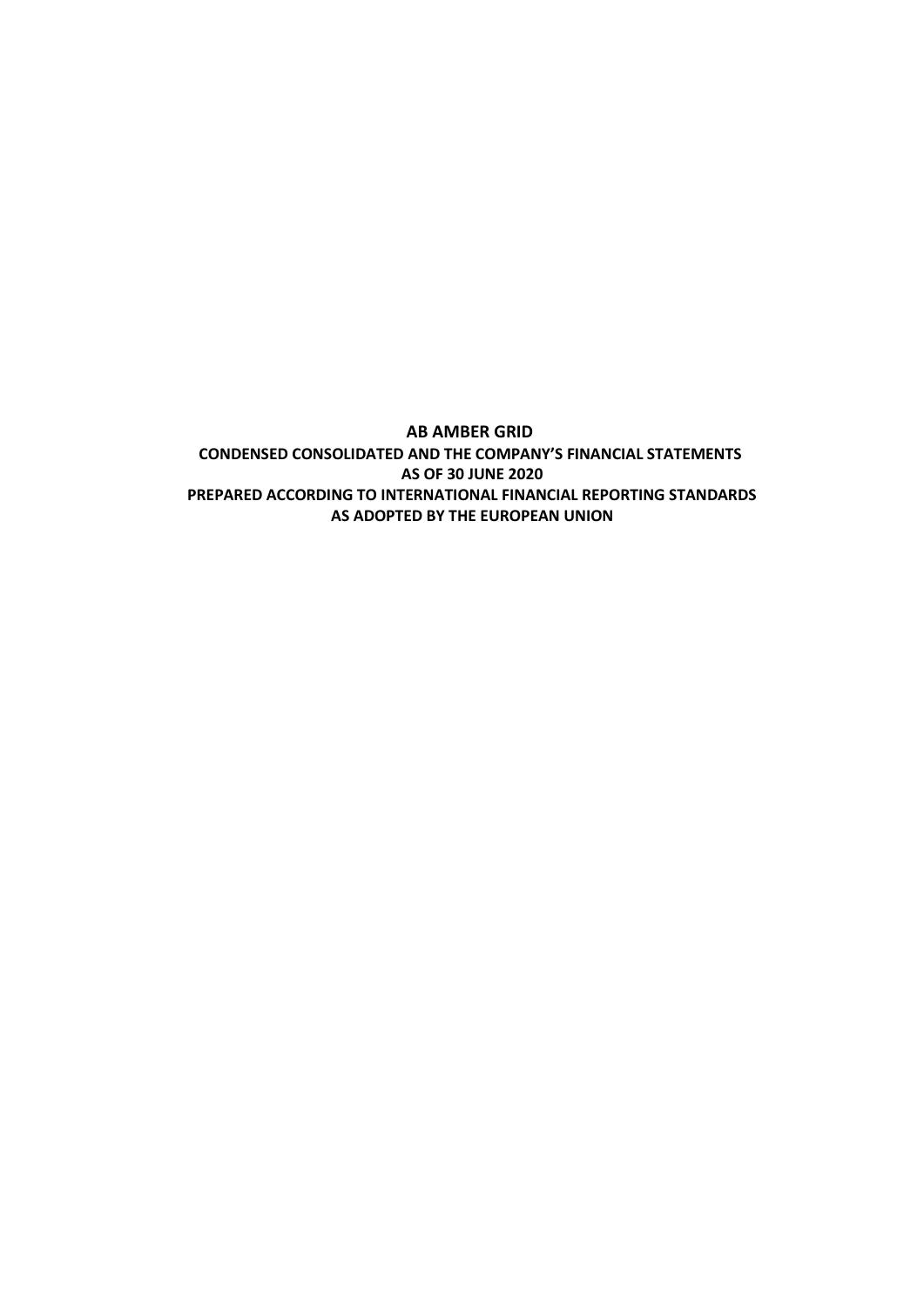**AB AMBER GRID CONDENSED CONSOLIDATED AND THE COMPANY'S FINANCIAL STATEMENTS AS OF 30 JUNE 2020 PREPARED ACCORDING TO INTERNATIONAL FINANCIAL REPORTING STANDARDS AS ADOPTED BY THE EUROPEAN UNION**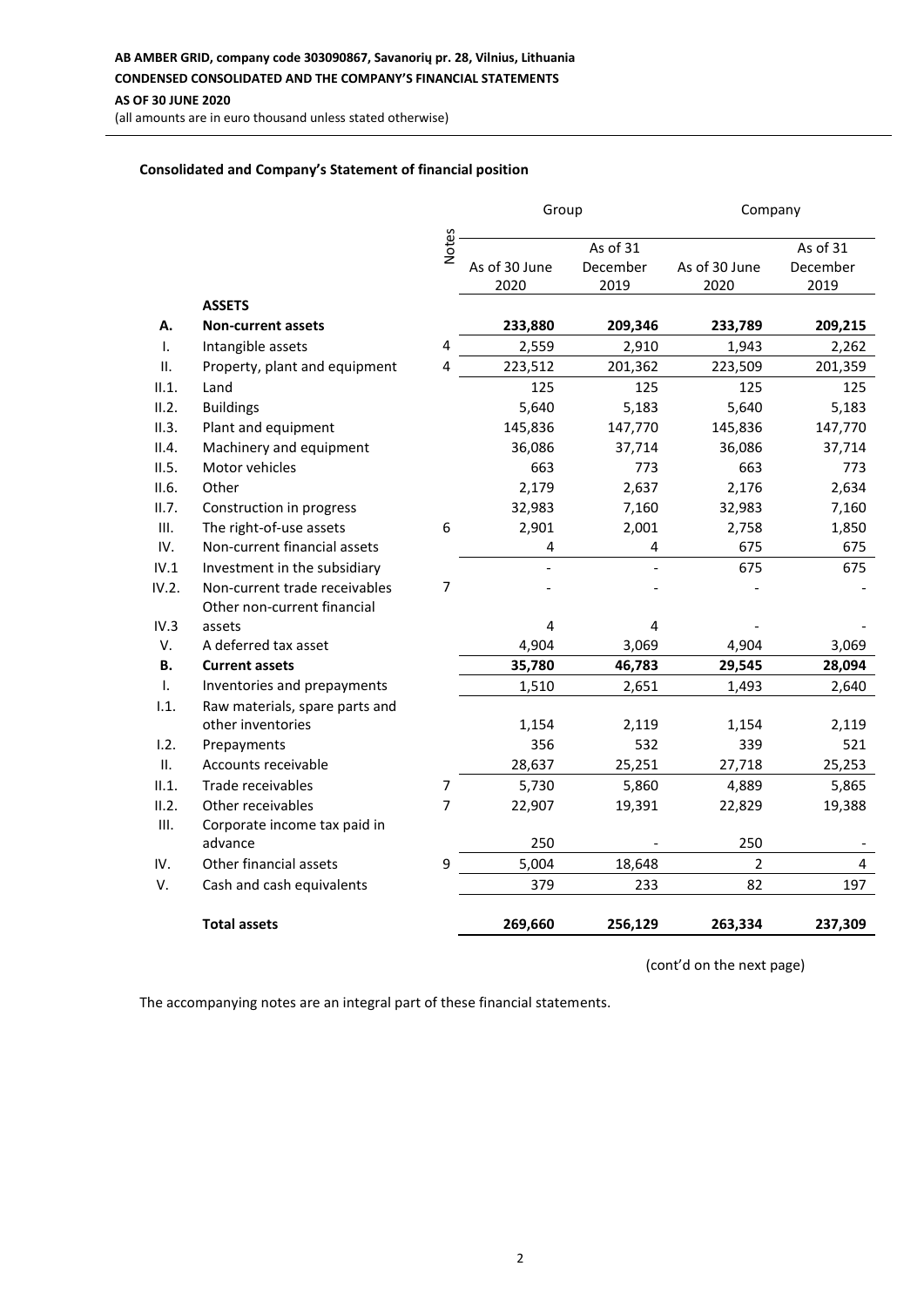**AB AMBER GRID, company code 303090867, Savanorių pr. 28, Vilnius, Lithuania CONDENSED CONSOLIDATED AND THE COMPANY'S FINANCIAL STATEMENTS AS OF 30 JUNE 2020**

(all amounts are in euro thousand unless stated otherwise)

### **Consolidated and Company's Statement of financial position**

|                |                                |              | Group         |          |                | Company  |  |
|----------------|--------------------------------|--------------|---------------|----------|----------------|----------|--|
|                |                                |              |               |          |                |          |  |
|                |                                | <b>Notes</b> |               | As of 31 |                | As of 31 |  |
|                |                                |              | As of 30 June | December | As of 30 June  | December |  |
|                |                                |              | 2020          | 2019     | 2020           | 2019     |  |
|                | <b>ASSETS</b>                  |              |               |          |                |          |  |
| А.             | Non-current assets             |              | 233,880       | 209,346  | 233,789        | 209,215  |  |
| $\mathbf{L}$   | Intangible assets              | 4            | 2,559         | 2,910    | 1,943          | 2,262    |  |
| Π.             | Property, plant and equipment  | 4            | 223,512       | 201,362  | 223,509        | 201,359  |  |
| II.1.          | Land                           |              | 125           | 125      | 125            | 125      |  |
| II.2.          | <b>Buildings</b>               |              | 5,640         | 5,183    | 5,640          | 5,183    |  |
| II.3.          | Plant and equipment            |              | 145,836       | 147,770  | 145,836        | 147,770  |  |
| II.4.          | Machinery and equipment        |              | 36,086        | 37,714   | 36,086         | 37,714   |  |
| II.5.          | Motor vehicles                 |              | 663           | 773      | 663            | 773      |  |
| II.6.          | Other                          |              | 2,179         | 2,637    | 2,176          | 2,634    |  |
| II.7.          | Construction in progress       |              | 32,983        | 7,160    | 32,983         | 7,160    |  |
| Ш.             | The right-of-use assets        | 6            | 2,901         | 2,001    | 2,758          | 1,850    |  |
| IV.            | Non-current financial assets   |              | 4             | 4        | 675            | 675      |  |
| IV.1           | Investment in the subsidiary   |              |               |          | 675            | 675      |  |
| IV.2.          | Non-current trade receivables  | 7            |               |          |                |          |  |
|                | Other non-current financial    |              |               |          |                |          |  |
| IV.3           | assets                         |              | 4             | 4        |                |          |  |
| V.             | A deferred tax asset           |              | 4,904         | 3,069    | 4,904          | 3,069    |  |
| <b>B.</b>      | <b>Current assets</b>          |              | 35,780        | 46,783   | 29,545         | 28,094   |  |
| $\mathbf{I}$ . | Inventories and prepayments    |              | 1,510         | 2,651    | 1,493          | 2,640    |  |
| 1.1.           | Raw materials, spare parts and |              |               |          |                |          |  |
|                | other inventories              |              | 1,154         | 2,119    | 1,154          | 2,119    |  |
| 1.2.           | Prepayments                    |              | 356           | 532      | 339            | 521      |  |
| II.            | Accounts receivable            |              | 28,637        | 25,251   | 27,718         | 25,253   |  |
| II.1.          | Trade receivables              | 7            | 5,730         | 5,860    | 4,889          | 5,865    |  |
| II.2.          | Other receivables              | 7            | 22,907        | 19,391   | 22,829         | 19,388   |  |
| III.           | Corporate income tax paid in   |              |               |          |                |          |  |
|                | advance                        |              | 250           |          | 250            |          |  |
| IV.            | Other financial assets         | 9            | 5,004         | 18,648   | $\overline{2}$ | 4        |  |
| V.             | Cash and cash equivalents      |              | 379           | 233      | 82             | 197      |  |
|                |                                |              |               |          |                |          |  |
|                | <b>Total assets</b>            |              | 269,660       | 256,129  | 263,334        | 237,309  |  |

(cont'd on the next page)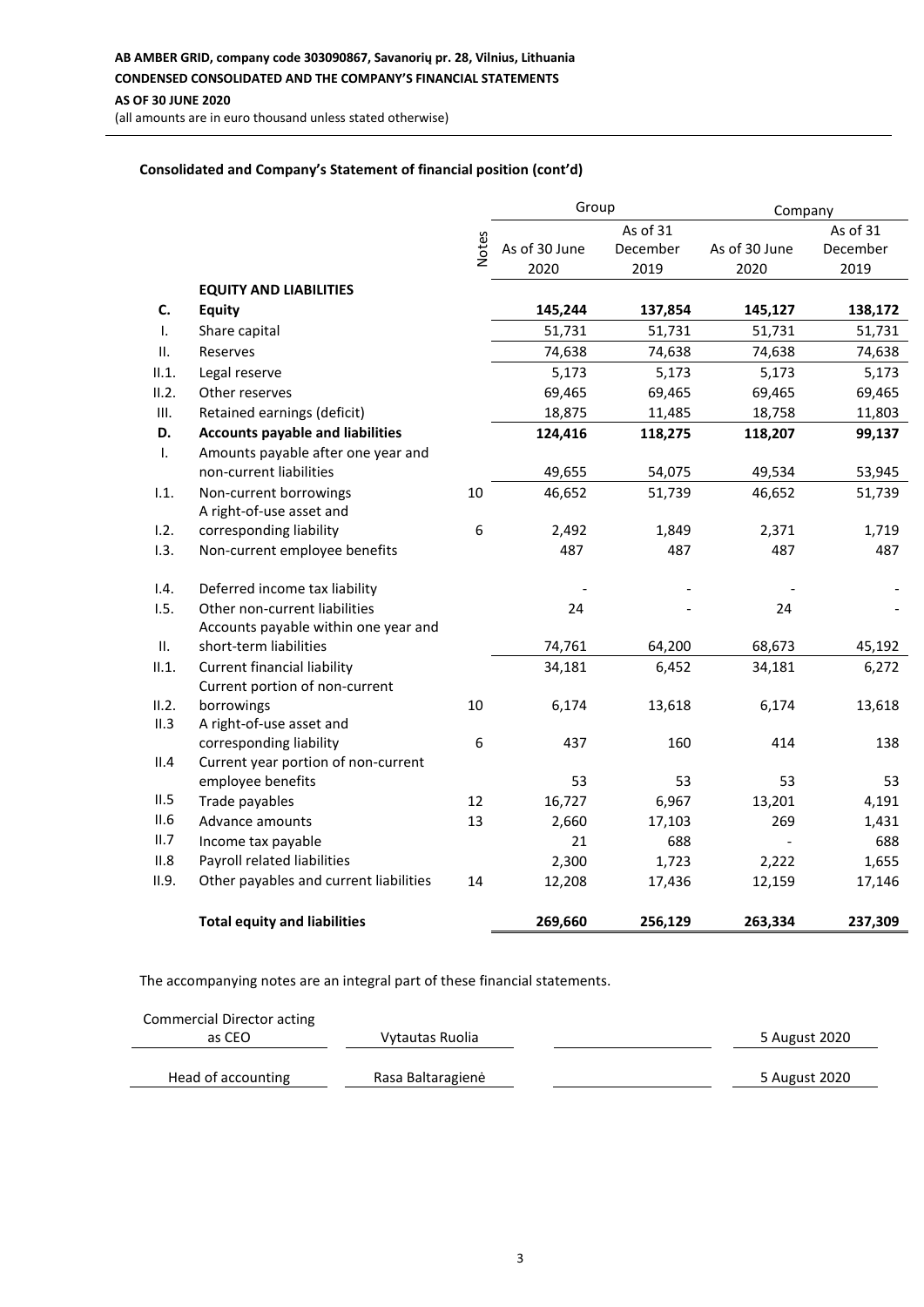### **Consolidated and Company's Statement of financial position (cont'd)**

|              |                                                    |              | Group         |          | Company       |          |
|--------------|----------------------------------------------------|--------------|---------------|----------|---------------|----------|
|              |                                                    |              |               | As of 31 |               | As of 31 |
|              |                                                    | <b>Notes</b> | As of 30 June | December | As of 30 June | December |
|              |                                                    |              | 2020          | 2019     | 2020          | 2019     |
|              | <b>EQUITY AND LIABILITIES</b>                      |              |               |          |               |          |
| C.           | <b>Equity</b>                                      |              | 145,244       | 137,854  | 145,127       | 138,172  |
| $\mathsf{L}$ | Share capital                                      |              | 51,731        | 51,731   | 51,731        | 51,731   |
| II.          | Reserves                                           |              | 74,638        | 74,638   | 74,638        | 74,638   |
| II.1.        | Legal reserve                                      |              | 5,173         | 5,173    | 5,173         | 5,173    |
| II.2.        | Other reserves                                     |              | 69,465        | 69,465   | 69,465        | 69,465   |
| III.         | Retained earnings (deficit)                        |              | 18,875        | 11,485   | 18,758        | 11,803   |
| D.           | <b>Accounts payable and liabilities</b>            |              | 124,416       | 118,275  | 118,207       | 99,137   |
| $\mathbf{L}$ | Amounts payable after one year and                 |              |               |          |               |          |
|              | non-current liabilities                            |              | 49,655        | 54,075   | 49,534        | 53,945   |
| 1.1.         | Non-current borrowings<br>A right-of-use asset and | 10           | 46,652        | 51,739   | 46,652        | 51,739   |
| 1.2.         | corresponding liability                            | 6            | 2,492         | 1,849    | 2,371         | 1,719    |
| 1.3.         | Non-current employee benefits                      |              | 487           | 487      | 487           | 487      |
| 1.4.         | Deferred income tax liability                      |              |               |          |               |          |
| 1.5.         | Other non-current liabilities                      |              | 24            |          | 24            |          |
|              | Accounts payable within one year and               |              |               |          |               |          |
| П.           | short-term liabilities                             |              | 74,761        | 64,200   | 68,673        | 45,192   |
| II.1.        | <b>Current financial liability</b>                 |              | 34,181        | 6,452    | 34,181        | 6,272    |
|              | Current portion of non-current                     |              |               |          |               |          |
| II.2.        | borrowings                                         | 10           | 6,174         | 13,618   | 6,174         | 13,618   |
| II.3         | A right-of-use asset and                           |              |               |          |               |          |
|              | corresponding liability                            | 6            | 437           | 160      | 414           | 138      |
| II.4         | Current year portion of non-current                |              |               |          |               |          |
|              | employee benefits                                  |              | 53            | 53       | 53            | 53       |
| II.5         | Trade payables                                     | 12           | 16,727        | 6,967    | 13,201        | 4,191    |
| II.6         | Advance amounts                                    | 13           | 2,660         | 17,103   | 269           | 1,431    |
| II.7         | Income tax payable                                 |              | 21            | 688      |               | 688      |
| II.8         | Payroll related liabilities                        |              | 2,300         | 1,723    | 2,222         | 1,655    |
| II.9.        | Other payables and current liabilities             | 14           | 12,208        | 17,436   | 12,159        | 17,146   |
|              | <b>Total equity and liabilities</b>                |              | 269,660       | 256,129  | 263,334       | 237,309  |

| Commercial Director acting |                   |               |
|----------------------------|-------------------|---------------|
| as CEO                     | Vytautas Ruolia   | 5 August 2020 |
|                            |                   |               |
| Head of accounting         | Rasa Baltaragienė | 5 August 2020 |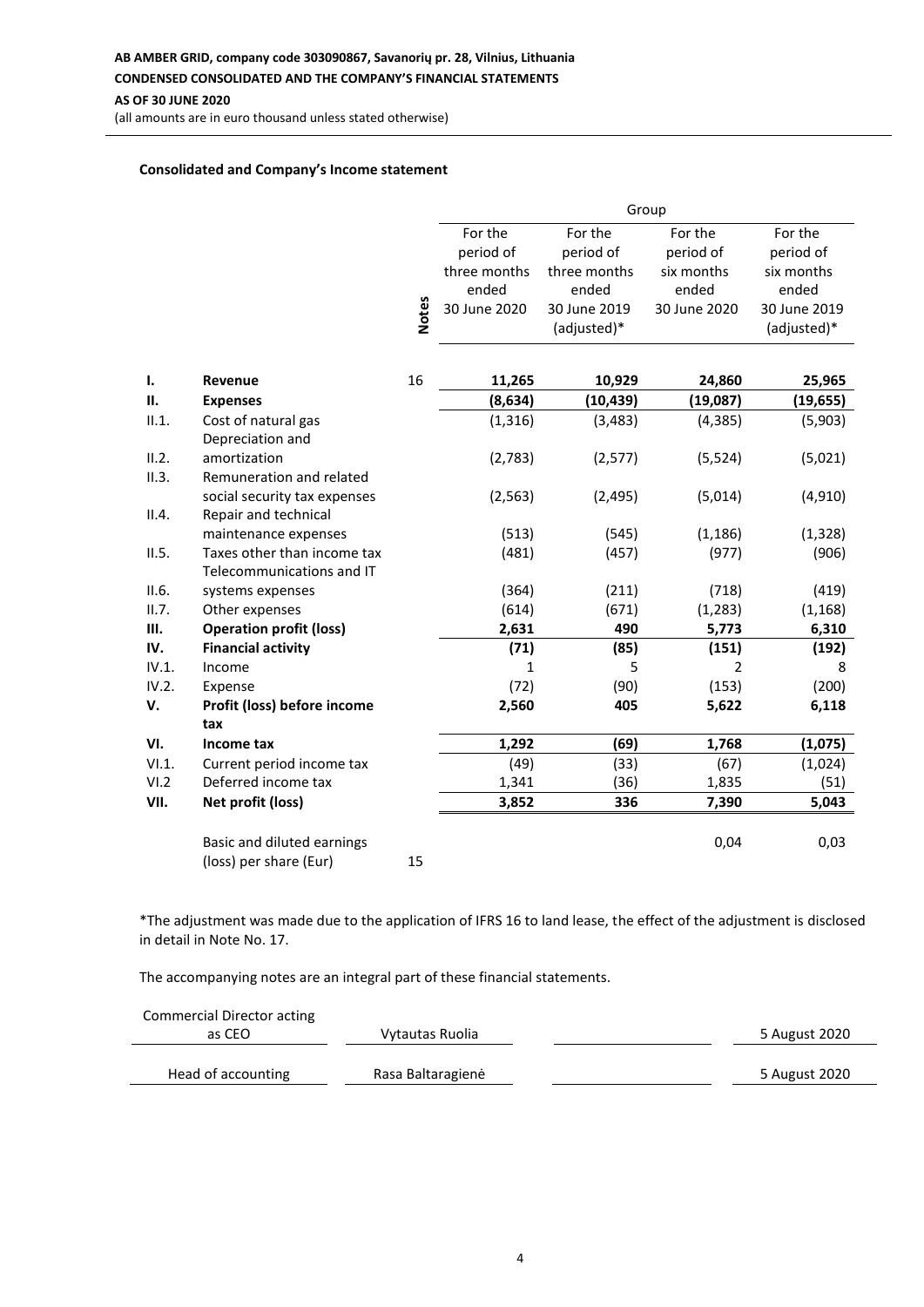# **AB AMBER GRID, company code 303090867, Savanorių pr. 28, Vilnius, Lithuania CONDENSED CONSOLIDATED AND THE COMPANY'S FINANCIAL STATEMENTS AS OF 30 JUNE 2020**

(all amounts are in euro thousand unless stated otherwise)

#### **Consolidated and Company's Income statement**

|       |                                         |              | Group        |              |                |              |
|-------|-----------------------------------------|--------------|--------------|--------------|----------------|--------------|
|       |                                         |              | For the      | For the      | For the        | For the      |
|       |                                         |              | period of    | period of    | period of      | period of    |
|       |                                         |              | three months | three months | six months     | six months   |
|       |                                         |              | ended        | ended        | ended          | ended        |
|       |                                         | <b>Notes</b> | 30 June 2020 | 30 June 2019 | 30 June 2020   | 30 June 2019 |
|       |                                         |              |              | (adjusted)*  |                | (adjusted)*  |
|       |                                         |              |              |              |                |              |
| Ι.    | Revenue                                 | 16           | 11,265       | 10,929       | 24,860         | 25,965       |
| П.    | <b>Expenses</b>                         |              | (8, 634)     | (10, 439)    | (19,087)       | (19, 655)    |
| II.1. | Cost of natural gas<br>Depreciation and |              | (1, 316)     | (3, 483)     | (4, 385)       | (5,903)      |
| II.2. | amortization                            |              | (2,783)      | (2, 577)     | (5, 524)       | (5,021)      |
| II.3. | Remuneration and related                |              |              |              |                |              |
|       | social security tax expenses            |              | (2, 563)     | (2, 495)     | (5,014)        | (4, 910)     |
| II.4. | Repair and technical                    |              |              |              |                |              |
|       | maintenance expenses                    |              | (513)        | (545)        | (1, 186)       | (1, 328)     |
| II.5. | Taxes other than income tax             |              | (481)        | (457)        | (977)          | (906)        |
|       | Telecommunications and IT               |              |              |              |                |              |
| II.6. | systems expenses                        |              | (364)        | (211)        | (718)          | (419)        |
| II.7. | Other expenses                          |              | (614)        | (671)        | (1, 283)       | (1, 168)     |
| Ш.    | <b>Operation profit (loss)</b>          |              | 2,631        | 490          | 5,773          | 6,310        |
| IV.   | <b>Financial activity</b>               |              | (71)         | (85)         | (151)          | (192)        |
| IV.1. | Income                                  |              | 1            | 5            | $\overline{2}$ | 8            |
| IV.2. | Expense                                 |              | (72)         | (90)         | (153)          | (200)        |
| V.    | Profit (loss) before income             |              | 2,560        | 405          | 5,622          | 6,118        |
|       | tax                                     |              |              |              |                |              |
| VI.   | Income tax                              |              | 1,292        | (69)         | 1,768          | (1,075)      |
| VI.1. | Current period income tax               |              | (49)         | (33)         | (67)           | (1,024)      |
| VI.2  | Deferred income tax                     |              | 1,341        | (36)         | 1,835          | (51)         |
| VII.  | Net profit (loss)                       |              | 3,852        | 336          | 7,390          | 5,043        |
|       | Basic and diluted earnings              |              |              |              | 0,04           | 0,03         |
|       | (loss) per share (Eur)                  | 15           |              |              |                |              |

\*The adjustment was made due to the application of IFRS 16 to land lease, the effect of the adjustment is disclosed in detail in Note No. 17.

| Commercial Director acting |                   |               |
|----------------------------|-------------------|---------------|
| as CEO                     | Vytautas Ruolia   | 5 August 2020 |
| Head of accounting         | Rasa Baltaragienė | 5 August 2020 |
|                            |                   |               |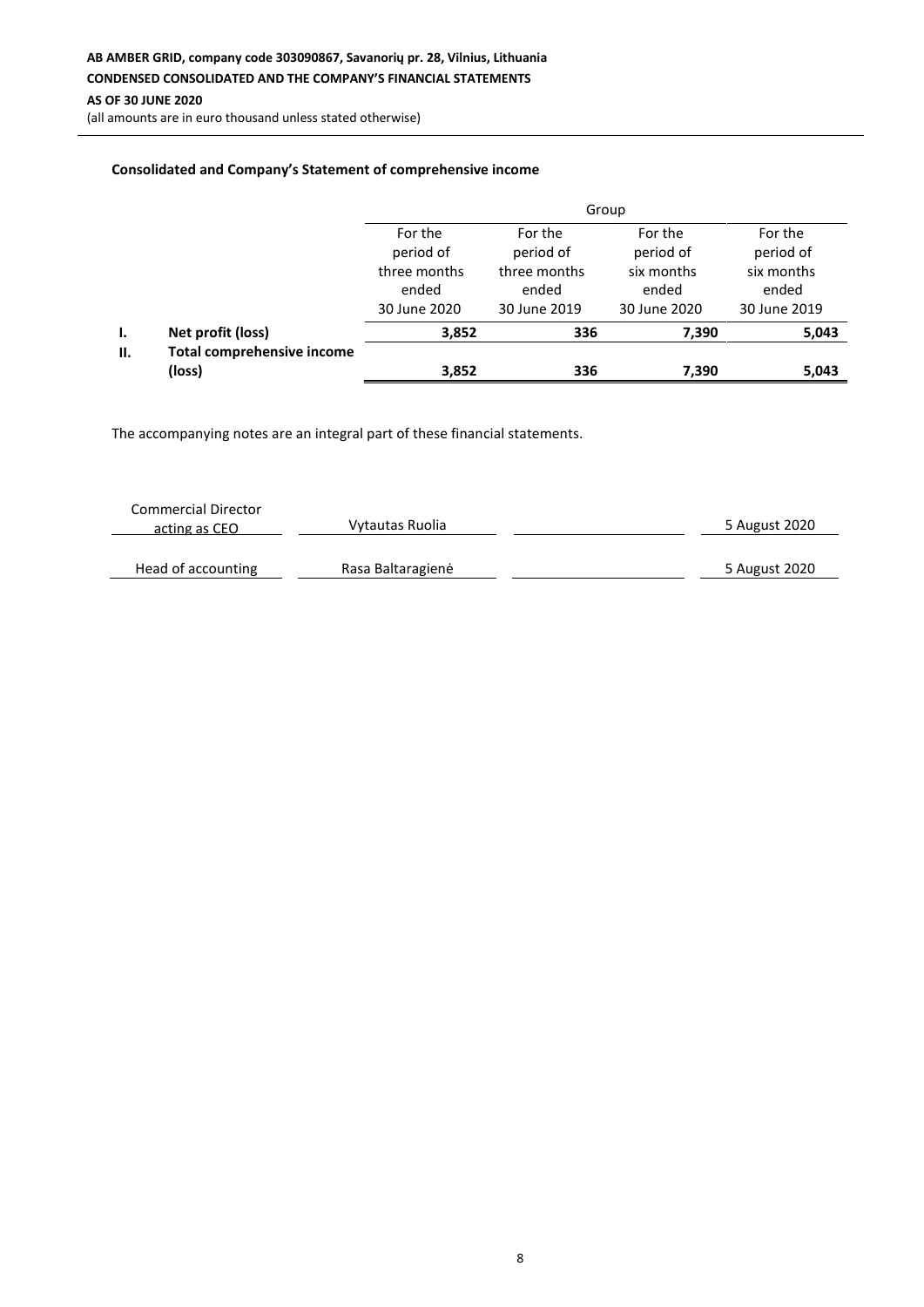(all amounts are in euro thousand unless stated otherwise)

### **Consolidated and Company's Statement of comprehensive income**

|     |                                             | Group                                 |                                       |                                     |                                     |  |  |
|-----|---------------------------------------------|---------------------------------------|---------------------------------------|-------------------------------------|-------------------------------------|--|--|
|     |                                             | For the<br>period of                  | For the<br>period of                  | For the<br>period of                | For the<br>period of                |  |  |
|     |                                             | three months<br>ended<br>30 June 2020 | three months<br>ended<br>30 June 2019 | six months<br>ended<br>30 June 2020 | six months<br>ended<br>30 June 2019 |  |  |
|     |                                             |                                       |                                       |                                     |                                     |  |  |
| Ι.  | Net profit (loss)                           | 3,852                                 | 336                                   | 7,390                               | 5,043                               |  |  |
| II. | <b>Total comprehensive income</b><br>(loss) | 3,852                                 | 336                                   | 7,390                               | 5,043                               |  |  |

| <b>Commercial Director</b><br>acting as CEO | Vytautas Ruolia   | 5 August 2020 |
|---------------------------------------------|-------------------|---------------|
| Head of accounting                          | Rasa Baltaragienė | 5 August 2020 |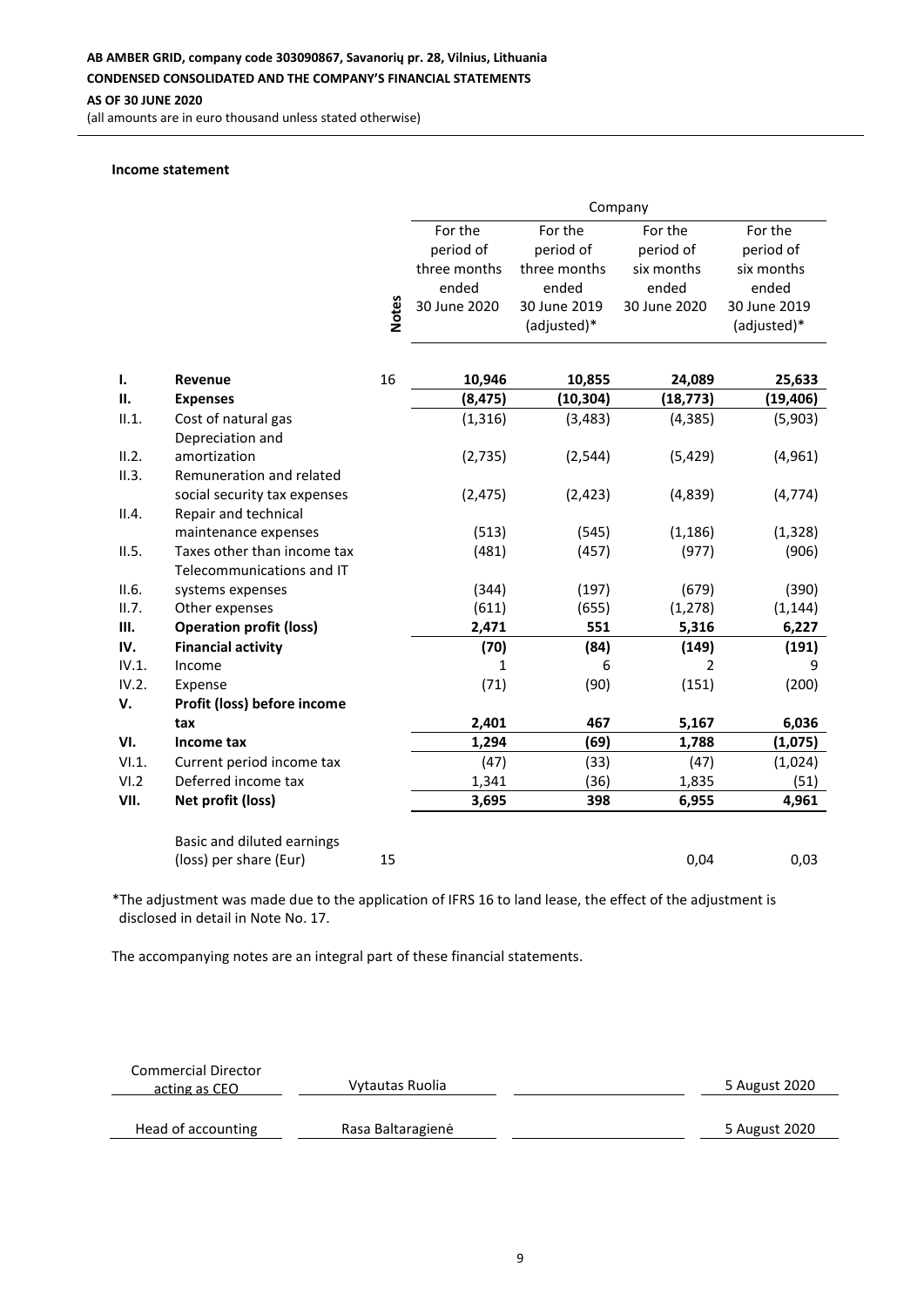**AS OF 30 JUNE 2020**

(all amounts are in euro thousand unless stated otherwise)

#### **Income statement**

|       |                                              |              | Company      |              |                |              |
|-------|----------------------------------------------|--------------|--------------|--------------|----------------|--------------|
|       |                                              |              | For the      | For the      | For the        | For the      |
|       |                                              |              | period of    | period of    | period of      | period of    |
|       |                                              |              | three months | three months | six months     | six months   |
|       |                                              |              | ended        | ended        | ended          | ended        |
|       |                                              | <b>Notes</b> | 30 June 2020 | 30 June 2019 | 30 June 2020   | 30 June 2019 |
|       |                                              |              |              | (adjusted)*  |                | (adjusted)*  |
|       |                                              |              |              |              |                |              |
| Ι.    | Revenue                                      | 16           | 10,946       | 10,855       | 24,089         | 25,633       |
| П.    | <b>Expenses</b>                              |              | (8, 475)     | (10, 304)    | (18, 773)      | (19, 406)    |
| II.1. | Cost of natural gas                          |              | (1, 316)     | (3, 483)     | (4, 385)       | (5,903)      |
|       | Depreciation and                             |              |              |              |                |              |
| II.2. | amortization                                 |              | (2, 735)     | (2, 544)     | (5, 429)       | (4, 961)     |
| II.3. | Remuneration and related                     |              |              |              |                |              |
|       | social security tax expenses                 |              | (2, 475)     | (2, 423)     | (4,839)        | (4, 774)     |
| II.4. | Repair and technical<br>maintenance expenses |              | (513)        | (545)        | (1, 186)       | (1, 328)     |
| II.5. | Taxes other than income tax                  |              | (481)        | (457)        | (977)          | (906)        |
|       | Telecommunications and IT                    |              |              |              |                |              |
| II.6. | systems expenses                             |              | (344)        | (197)        | (679)          | (390)        |
| II.7. | Other expenses                               |              | (611)        | (655)        | (1, 278)       | (1, 144)     |
| Ш.    | <b>Operation profit (loss)</b>               |              | 2,471        | 551          | 5,316          | 6,227        |
| IV.   | <b>Financial activity</b>                    |              | (70)         | (84)         | (149)          | (191)        |
| IV.1. | Income                                       |              | $\mathbf{1}$ | 6            | $\overline{2}$ | 9            |
| IV.2. | Expense                                      |              | (71)         | (90)         | (151)          | (200)        |
| V.    | Profit (loss) before income                  |              |              |              |                |              |
|       | tax                                          |              | 2,401        | 467          | 5,167          | 6,036        |
| VI.   | Income tax                                   |              | 1,294        | (69)         | 1,788          | (1,075)      |
| VI.1. | Current period income tax                    |              | (47)         | (33)         | (47)           | (1,024)      |
| VI.2  | Deferred income tax                          |              | 1,341        | (36)         | 1,835          | (51)         |
| VII.  | Net profit (loss)                            |              | 3,695        | 398          | 6,955          | 4,961        |
|       | Basic and diluted earnings                   |              |              |              |                |              |
|       | (loss) per share (Eur)                       | 15           |              |              | 0,04           | 0,03         |

\*The adjustment was made due to the application of IFRS 16 to land lease, the effect of the adjustment is disclosed in detail in Note No. 17.

| <b>Commercial Director</b><br>acting as CEO | Vytautas Ruolia   | 5 August 2020 |
|---------------------------------------------|-------------------|---------------|
| Head of accounting                          | Rasa Baltaragienė | 5 August 2020 |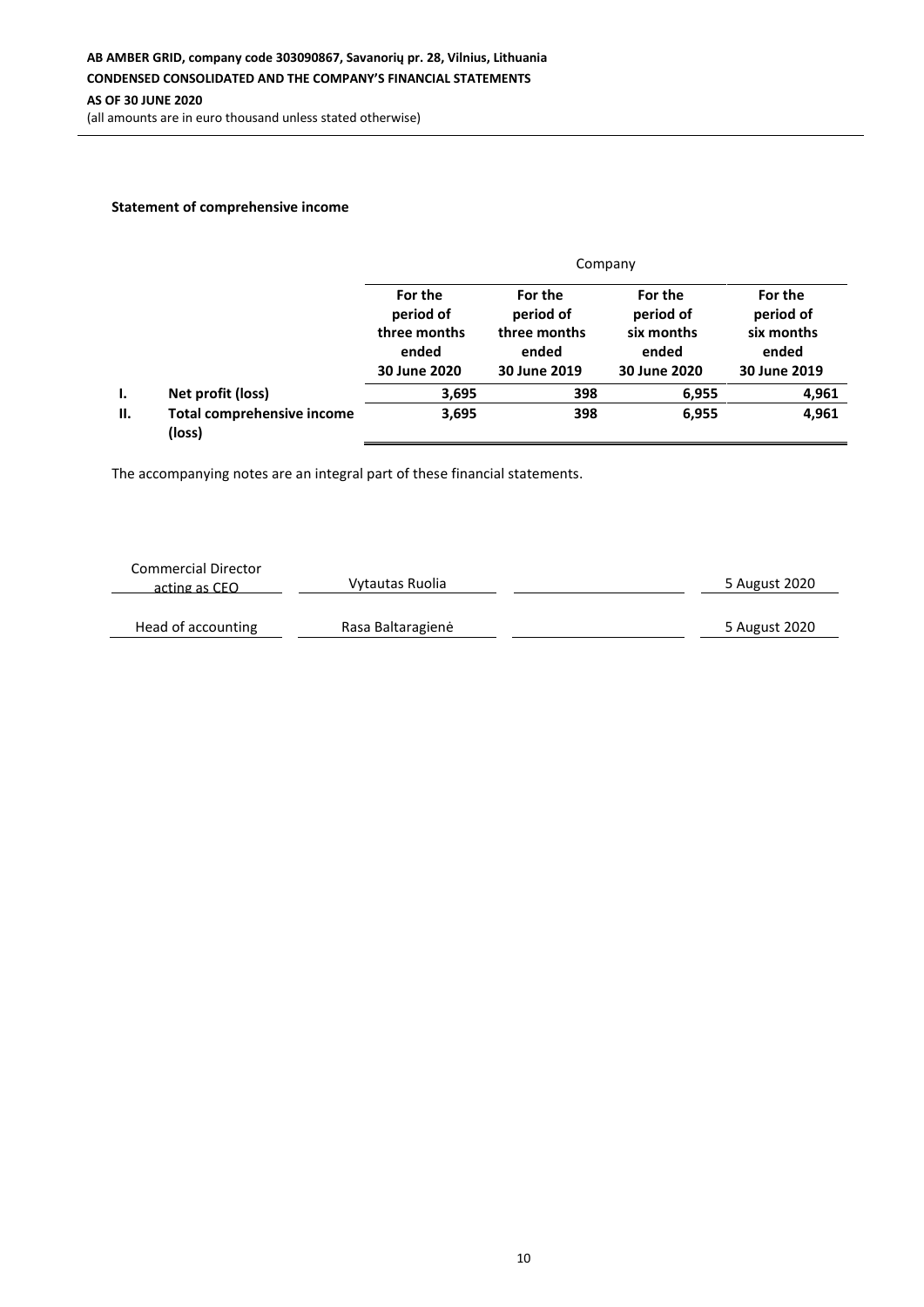(all amounts are in euro thousand unless stated otherwise)

### **Statement of comprehensive income**

|    |                                             | Company                                                       |                                                               |                                                             |                                                             |  |  |
|----|---------------------------------------------|---------------------------------------------------------------|---------------------------------------------------------------|-------------------------------------------------------------|-------------------------------------------------------------|--|--|
|    |                                             | For the<br>period of<br>three months<br>ended<br>30 June 2020 | For the<br>period of<br>three months<br>ended<br>30 June 2019 | For the<br>period of<br>six months<br>ended<br>30 June 2020 | For the<br>period of<br>six months<br>ended<br>30 June 2019 |  |  |
| Ι. | Net profit (loss)                           | 3,695                                                         | 398                                                           | 6,955                                                       | 4,961                                                       |  |  |
| П. | <b>Total comprehensive income</b><br>(loss) | 3,695                                                         | 398                                                           | 6,955                                                       | 4,961                                                       |  |  |

| <b>Commercial Director</b><br>acting as CEO | Vytautas Ruolia   | 5 August 2020 |
|---------------------------------------------|-------------------|---------------|
| Head of accounting                          | Rasa Baltaragienė | 5 August 2020 |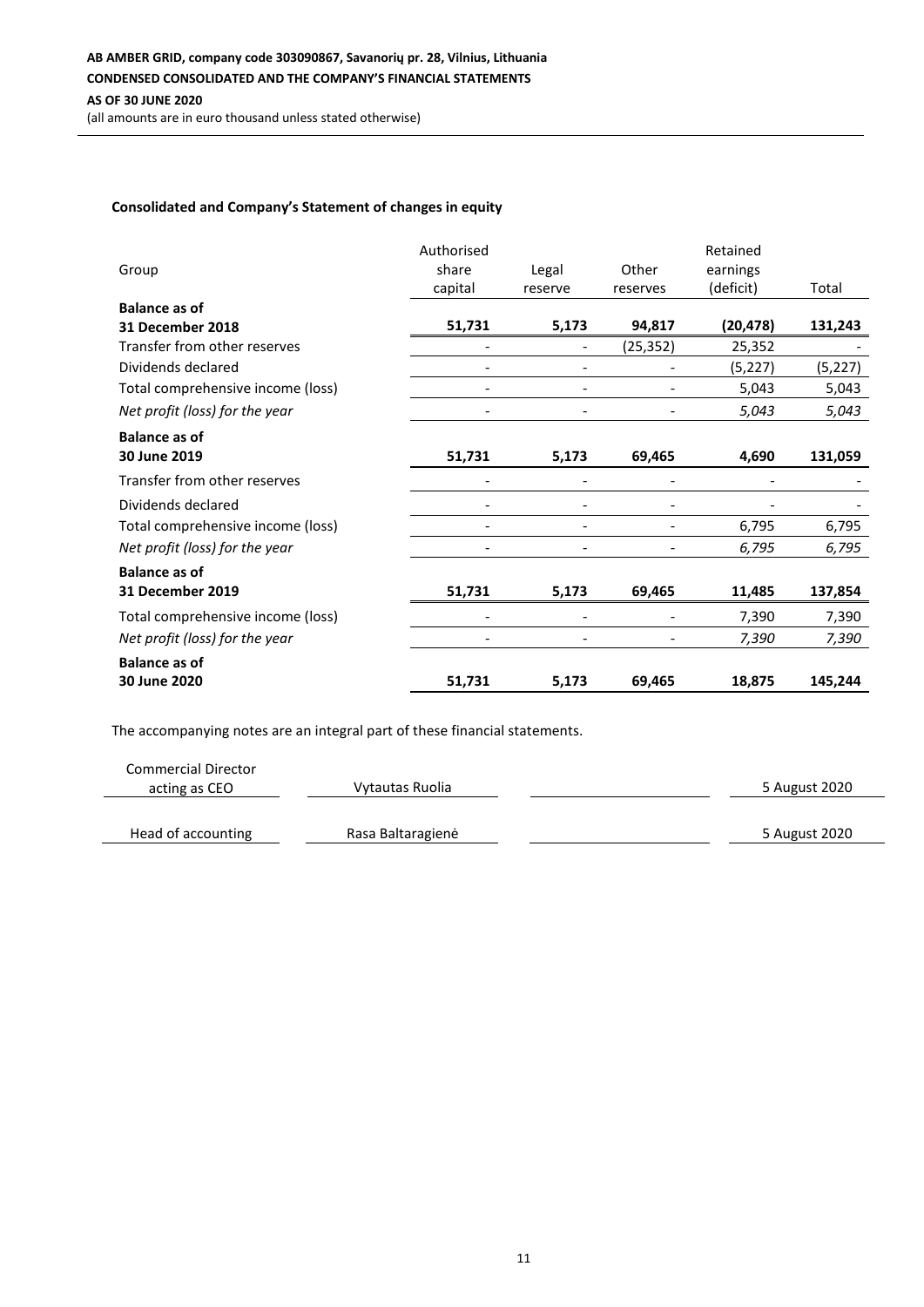(all amounts are in euro thousand unless stated otherwise)

### **Consolidated and Company's Statement of changes in equity**

|                                   | Authorised               |                          |           | Retained  |          |
|-----------------------------------|--------------------------|--------------------------|-----------|-----------|----------|
| Group                             | share                    | Legal                    | Other     | earnings  |          |
|                                   | capital                  | reserve                  | reserves  | (deficit) | Total    |
| <b>Balance as of</b>              |                          |                          |           |           |          |
| 31 December 2018                  | 51,731                   | 5,173                    | 94,817    | (20, 478) | 131,243  |
| Transfer from other reserves      |                          |                          | (25, 352) | 25,352    |          |
| Dividends declared                |                          |                          |           | (5, 227)  | (5, 227) |
| Total comprehensive income (loss) |                          |                          |           | 5,043     | 5,043    |
| Net profit (loss) for the year    | $\overline{\phantom{a}}$ | $\overline{\phantom{a}}$ |           | 5,043     | 5,043    |
| <b>Balance as of</b>              |                          |                          |           |           |          |
| 30 June 2019                      | 51,731                   | 5,173                    | 69,465    | 4,690     | 131,059  |
| Transfer from other reserves      |                          |                          |           |           |          |
| Dividends declared                |                          |                          |           |           |          |
| Total comprehensive income (loss) |                          |                          |           | 6,795     | 6,795    |
| Net profit (loss) for the year    |                          |                          |           | 6,795     | 6,795    |
| <b>Balance as of</b>              |                          |                          |           |           |          |
| <b>31 December 2019</b>           | 51,731                   | 5,173                    | 69,465    | 11,485    | 137,854  |
| Total comprehensive income (loss) |                          |                          |           | 7,390     | 7,390    |
| Net profit (loss) for the year    |                          |                          |           | 7,390     | 7,390    |
| <b>Balance as of</b>              |                          |                          |           |           |          |
| 30 June 2020                      | 51,731                   | 5,173                    | 69,465    | 18,875    | 145,244  |

The accompanying notes are an integral part of these financial statements.

l,

| <b>Commercial Director</b> |                   |               |
|----------------------------|-------------------|---------------|
| acting as CEO              | Vytautas Ruolia   | 5 August 2020 |
|                            |                   |               |
| Head of accounting         | Rasa Baltaragienė | 5 August 2020 |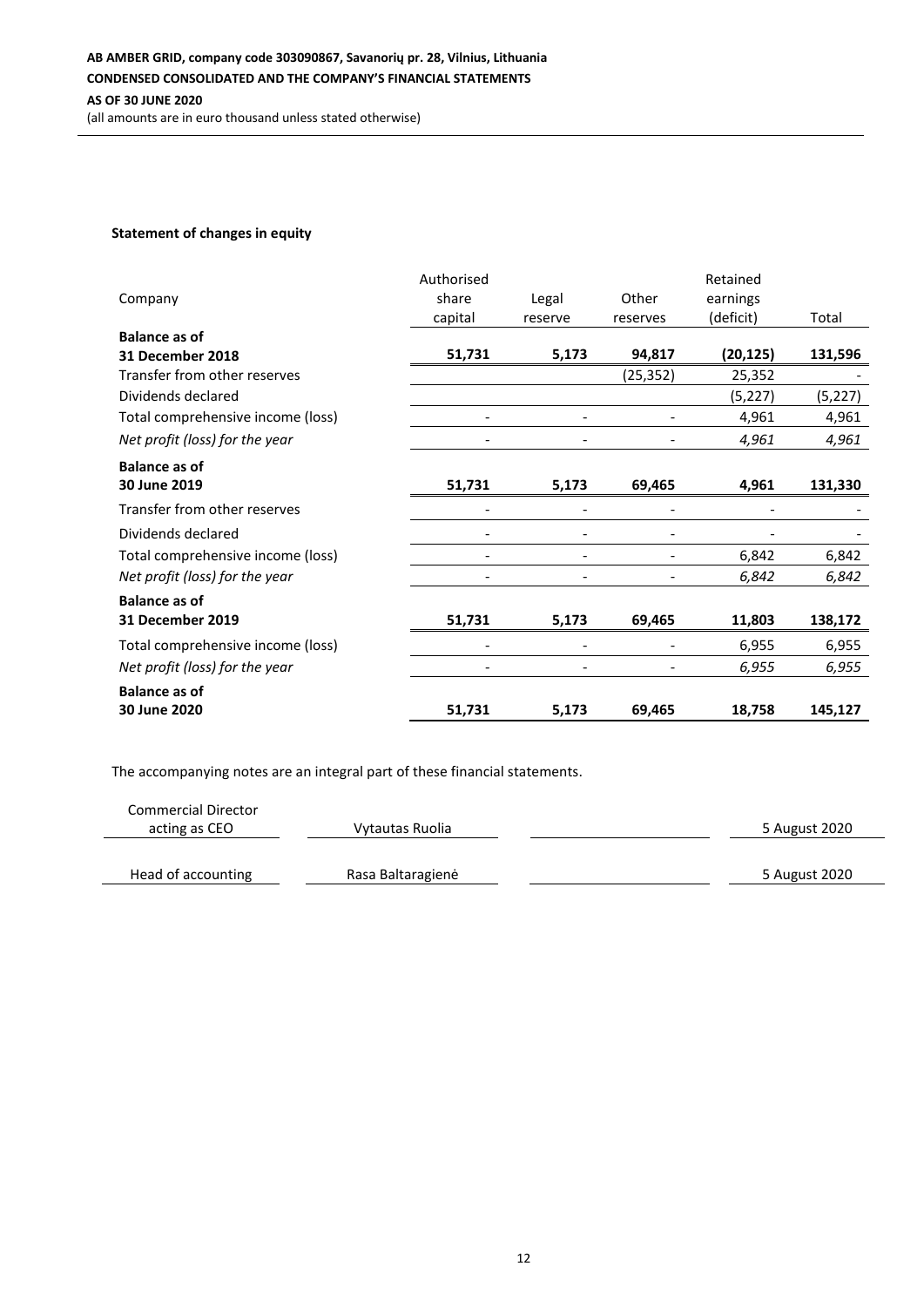### **Statement of changes in equity**

|                                   | Authorised |                          |           | Retained  |          |
|-----------------------------------|------------|--------------------------|-----------|-----------|----------|
| Company                           | share      | Legal                    | Other     | earnings  |          |
|                                   | capital    | reserve                  | reserves  | (deficit) | Total    |
| <b>Balance as of</b>              |            |                          |           |           |          |
| 31 December 2018                  | 51,731     | 5,173                    | 94,817    | (20, 125) | 131,596  |
| Transfer from other reserves      |            |                          | (25, 352) | 25,352    |          |
| Dividends declared                |            |                          |           | (5,227)   | (5, 227) |
| Total comprehensive income (loss) |            |                          |           | 4,961     | 4,961    |
| Net profit (loss) for the year    |            |                          |           | 4,961     | 4,961    |
| <b>Balance as of</b>              |            |                          |           |           |          |
| 30 June 2019                      | 51,731     | 5,173                    | 69,465    | 4,961     | 131,330  |
| Transfer from other reserves      |            |                          |           |           |          |
| Dividends declared                |            |                          |           |           |          |
| Total comprehensive income (loss) |            | $\overline{\phantom{a}}$ |           | 6,842     | 6,842    |
| Net profit (loss) for the year    |            |                          |           | 6,842     | 6,842    |
| <b>Balance as of</b>              |            |                          |           |           |          |
| 31 December 2019                  | 51,731     | 5,173                    | 69,465    | 11,803    | 138,172  |
| Total comprehensive income (loss) |            |                          |           | 6,955     | 6,955    |
| Net profit (loss) for the year    |            |                          |           | 6,955     | 6,955    |
| <b>Balance as of</b>              |            |                          |           |           |          |
| 30 June 2020                      | 51,731     | 5,173                    | 69,465    | 18,758    | 145,127  |

| <b>Commercial Director</b> |                   |               |
|----------------------------|-------------------|---------------|
| acting as CEO              | Vytautas Ruolia   | 5 August 2020 |
|                            |                   |               |
| Head of accounting         | Rasa Baltaragienė | 5 August 2020 |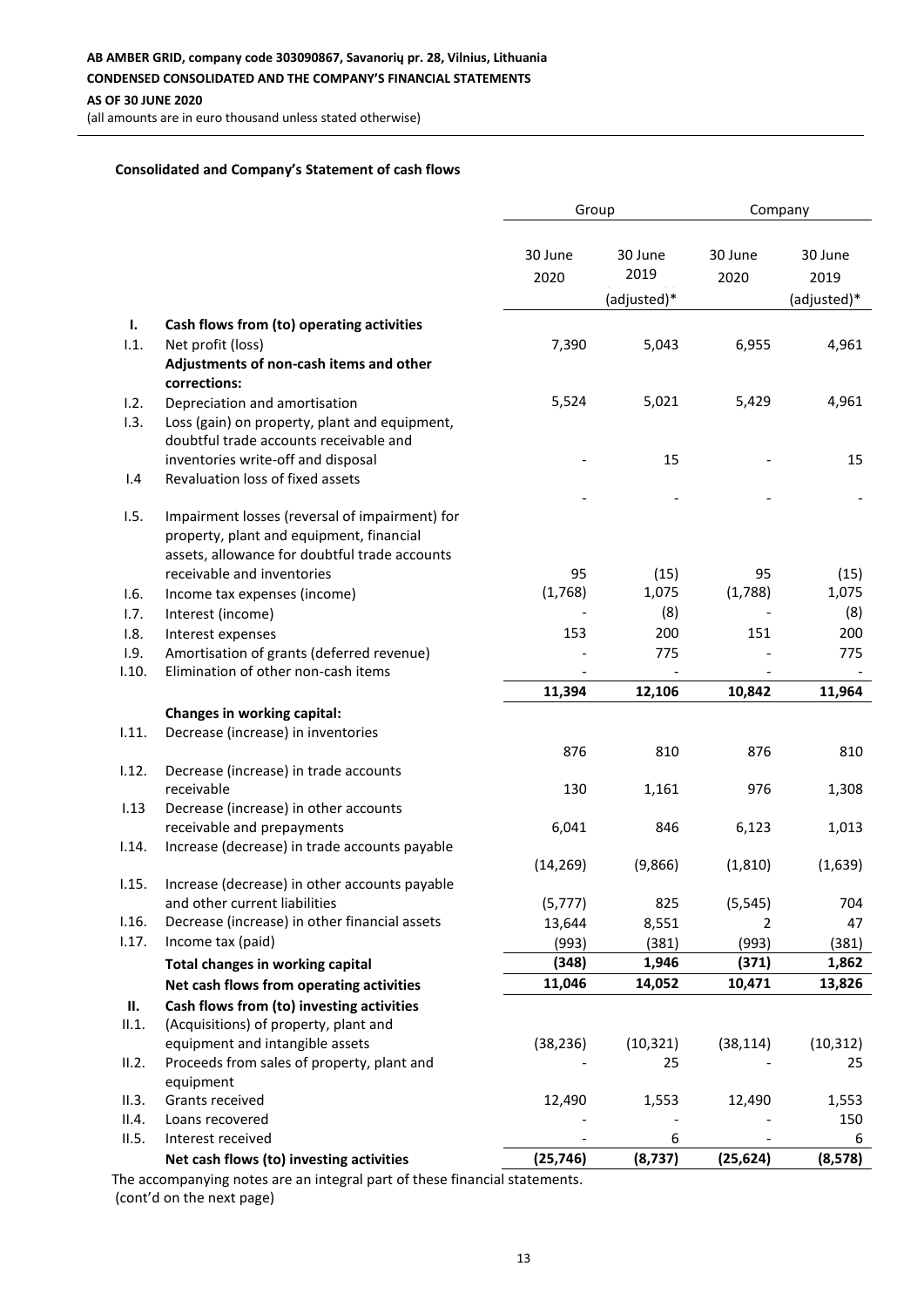(all amounts are in euro thousand unless stated otherwise)

### **Consolidated and Company's Statement of cash flows**

| 30 June<br>30 June<br>30 June<br>30 June<br>2019<br>2020<br>2020<br>2019<br>(adjusted)*<br>(adjusted)*<br>Ι.<br>Cash flows from (to) operating activities<br>1.1.<br>7,390<br>5,043<br>6,955<br>4,961<br>Net profit (loss)<br>Adjustments of non-cash items and other<br>corrections:<br>5,524<br>5,021<br>5,429<br>4,961<br>Depreciation and amortisation<br>1.2.<br>1.3.<br>Loss (gain) on property, plant and equipment,<br>doubtful trade accounts receivable and<br>inventories write-off and disposal<br>15<br>15<br>Revaluation loss of fixed assets<br>1.4<br>1.5.<br>Impairment losses (reversal of impairment) for<br>property, plant and equipment, financial<br>assets, allowance for doubtful trade accounts<br>receivable and inventories<br>95<br>(15)<br>(15)<br>95<br>(1,768)<br>1,075<br>(1,788)<br>1,075<br>1.6.<br>Income tax expenses (income)<br>(8)<br>(8)<br>1.7.<br>Interest (income)<br>153<br>200<br>151<br>200<br>1.8.<br>Interest expenses<br>Amortisation of grants (deferred revenue)<br>1.9.<br>775<br>775<br>Elimination of other non-cash items<br>11,394<br>11,964<br>12,106<br>10,842<br>Changes in working capital:<br>Decrease (increase) in inventories<br>876<br>810<br>876<br>810<br>Decrease (increase) in trade accounts<br>130<br>976<br>1,308<br>receivable<br>1,161<br>Decrease (increase) in other accounts<br>receivable and prepayments<br>6,041<br>6,123<br>846<br>1,013<br>Increase (decrease) in trade accounts payable<br>(14, 269)<br>(9,866)<br>(1, 810)<br>(1,639)<br>1.15.<br>Increase (decrease) in other accounts payable<br>and other current liabilities<br>825<br>(5, 545)<br>(5, 777)<br>704<br>Decrease (increase) in other financial assets<br>1.16.<br>13,644<br>8,551<br>2<br>47<br>1.17.<br>Income tax (paid)<br>(993)<br>(381)<br>(993)<br>(381)<br>(348)<br>1,946<br>(371)<br>1,862<br>Total changes in working capital<br>11,046<br>10,471<br>14,052<br>13,826<br>Net cash flows from operating activities<br>Cash flows from (to) investing activities<br>н.<br>(Acquisitions) of property, plant and<br>II.1.<br>equipment and intangible assets<br>(38, 236)<br>(10, 321)<br>(38, 114)<br>(10, 312)<br>Proceeds from sales of property, plant and<br>II.2.<br>25<br>25<br>equipment<br>II.3.<br>Grants received<br>12,490<br>1,553<br>12,490<br>1,553<br>150<br>II.4.<br>Loans recovered<br>6<br>Interest received<br>6 |       |                                          | Group     |          | Company   |          |
|---------------------------------------------------------------------------------------------------------------------------------------------------------------------------------------------------------------------------------------------------------------------------------------------------------------------------------------------------------------------------------------------------------------------------------------------------------------------------------------------------------------------------------------------------------------------------------------------------------------------------------------------------------------------------------------------------------------------------------------------------------------------------------------------------------------------------------------------------------------------------------------------------------------------------------------------------------------------------------------------------------------------------------------------------------------------------------------------------------------------------------------------------------------------------------------------------------------------------------------------------------------------------------------------------------------------------------------------------------------------------------------------------------------------------------------------------------------------------------------------------------------------------------------------------------------------------------------------------------------------------------------------------------------------------------------------------------------------------------------------------------------------------------------------------------------------------------------------------------------------------------------------------------------------------------------------------------------------------------------------------------------------------------------------------------------------------------------------------------------------------------------------------------------------------------------------------------------------------------------------------------------------------------------------------------------------------------------------------------------------------------------------------|-------|------------------------------------------|-----------|----------|-----------|----------|
|                                                                                                                                                                                                                                                                                                                                                                                                                                                                                                                                                                                                                                                                                                                                                                                                                                                                                                                                                                                                                                                                                                                                                                                                                                                                                                                                                                                                                                                                                                                                                                                                                                                                                                                                                                                                                                                                                                                                                                                                                                                                                                                                                                                                                                                                                                                                                                                                   |       |                                          |           |          |           |          |
|                                                                                                                                                                                                                                                                                                                                                                                                                                                                                                                                                                                                                                                                                                                                                                                                                                                                                                                                                                                                                                                                                                                                                                                                                                                                                                                                                                                                                                                                                                                                                                                                                                                                                                                                                                                                                                                                                                                                                                                                                                                                                                                                                                                                                                                                                                                                                                                                   |       |                                          |           |          |           |          |
|                                                                                                                                                                                                                                                                                                                                                                                                                                                                                                                                                                                                                                                                                                                                                                                                                                                                                                                                                                                                                                                                                                                                                                                                                                                                                                                                                                                                                                                                                                                                                                                                                                                                                                                                                                                                                                                                                                                                                                                                                                                                                                                                                                                                                                                                                                                                                                                                   |       |                                          |           |          |           |          |
|                                                                                                                                                                                                                                                                                                                                                                                                                                                                                                                                                                                                                                                                                                                                                                                                                                                                                                                                                                                                                                                                                                                                                                                                                                                                                                                                                                                                                                                                                                                                                                                                                                                                                                                                                                                                                                                                                                                                                                                                                                                                                                                                                                                                                                                                                                                                                                                                   |       |                                          |           |          |           |          |
|                                                                                                                                                                                                                                                                                                                                                                                                                                                                                                                                                                                                                                                                                                                                                                                                                                                                                                                                                                                                                                                                                                                                                                                                                                                                                                                                                                                                                                                                                                                                                                                                                                                                                                                                                                                                                                                                                                                                                                                                                                                                                                                                                                                                                                                                                                                                                                                                   |       |                                          |           |          |           |          |
|                                                                                                                                                                                                                                                                                                                                                                                                                                                                                                                                                                                                                                                                                                                                                                                                                                                                                                                                                                                                                                                                                                                                                                                                                                                                                                                                                                                                                                                                                                                                                                                                                                                                                                                                                                                                                                                                                                                                                                                                                                                                                                                                                                                                                                                                                                                                                                                                   |       |                                          |           |          |           |          |
|                                                                                                                                                                                                                                                                                                                                                                                                                                                                                                                                                                                                                                                                                                                                                                                                                                                                                                                                                                                                                                                                                                                                                                                                                                                                                                                                                                                                                                                                                                                                                                                                                                                                                                                                                                                                                                                                                                                                                                                                                                                                                                                                                                                                                                                                                                                                                                                                   |       |                                          |           |          |           |          |
|                                                                                                                                                                                                                                                                                                                                                                                                                                                                                                                                                                                                                                                                                                                                                                                                                                                                                                                                                                                                                                                                                                                                                                                                                                                                                                                                                                                                                                                                                                                                                                                                                                                                                                                                                                                                                                                                                                                                                                                                                                                                                                                                                                                                                                                                                                                                                                                                   |       |                                          |           |          |           |          |
|                                                                                                                                                                                                                                                                                                                                                                                                                                                                                                                                                                                                                                                                                                                                                                                                                                                                                                                                                                                                                                                                                                                                                                                                                                                                                                                                                                                                                                                                                                                                                                                                                                                                                                                                                                                                                                                                                                                                                                                                                                                                                                                                                                                                                                                                                                                                                                                                   |       |                                          |           |          |           |          |
|                                                                                                                                                                                                                                                                                                                                                                                                                                                                                                                                                                                                                                                                                                                                                                                                                                                                                                                                                                                                                                                                                                                                                                                                                                                                                                                                                                                                                                                                                                                                                                                                                                                                                                                                                                                                                                                                                                                                                                                                                                                                                                                                                                                                                                                                                                                                                                                                   |       |                                          |           |          |           |          |
|                                                                                                                                                                                                                                                                                                                                                                                                                                                                                                                                                                                                                                                                                                                                                                                                                                                                                                                                                                                                                                                                                                                                                                                                                                                                                                                                                                                                                                                                                                                                                                                                                                                                                                                                                                                                                                                                                                                                                                                                                                                                                                                                                                                                                                                                                                                                                                                                   |       |                                          |           |          |           |          |
|                                                                                                                                                                                                                                                                                                                                                                                                                                                                                                                                                                                                                                                                                                                                                                                                                                                                                                                                                                                                                                                                                                                                                                                                                                                                                                                                                                                                                                                                                                                                                                                                                                                                                                                                                                                                                                                                                                                                                                                                                                                                                                                                                                                                                                                                                                                                                                                                   |       |                                          |           |          |           |          |
|                                                                                                                                                                                                                                                                                                                                                                                                                                                                                                                                                                                                                                                                                                                                                                                                                                                                                                                                                                                                                                                                                                                                                                                                                                                                                                                                                                                                                                                                                                                                                                                                                                                                                                                                                                                                                                                                                                                                                                                                                                                                                                                                                                                                                                                                                                                                                                                                   |       |                                          |           |          |           |          |
|                                                                                                                                                                                                                                                                                                                                                                                                                                                                                                                                                                                                                                                                                                                                                                                                                                                                                                                                                                                                                                                                                                                                                                                                                                                                                                                                                                                                                                                                                                                                                                                                                                                                                                                                                                                                                                                                                                                                                                                                                                                                                                                                                                                                                                                                                                                                                                                                   |       |                                          |           |          |           |          |
|                                                                                                                                                                                                                                                                                                                                                                                                                                                                                                                                                                                                                                                                                                                                                                                                                                                                                                                                                                                                                                                                                                                                                                                                                                                                                                                                                                                                                                                                                                                                                                                                                                                                                                                                                                                                                                                                                                                                                                                                                                                                                                                                                                                                                                                                                                                                                                                                   |       |                                          |           |          |           |          |
|                                                                                                                                                                                                                                                                                                                                                                                                                                                                                                                                                                                                                                                                                                                                                                                                                                                                                                                                                                                                                                                                                                                                                                                                                                                                                                                                                                                                                                                                                                                                                                                                                                                                                                                                                                                                                                                                                                                                                                                                                                                                                                                                                                                                                                                                                                                                                                                                   |       |                                          |           |          |           |          |
|                                                                                                                                                                                                                                                                                                                                                                                                                                                                                                                                                                                                                                                                                                                                                                                                                                                                                                                                                                                                                                                                                                                                                                                                                                                                                                                                                                                                                                                                                                                                                                                                                                                                                                                                                                                                                                                                                                                                                                                                                                                                                                                                                                                                                                                                                                                                                                                                   |       |                                          |           |          |           |          |
|                                                                                                                                                                                                                                                                                                                                                                                                                                                                                                                                                                                                                                                                                                                                                                                                                                                                                                                                                                                                                                                                                                                                                                                                                                                                                                                                                                                                                                                                                                                                                                                                                                                                                                                                                                                                                                                                                                                                                                                                                                                                                                                                                                                                                                                                                                                                                                                                   | 1.10. |                                          |           |          |           |          |
|                                                                                                                                                                                                                                                                                                                                                                                                                                                                                                                                                                                                                                                                                                                                                                                                                                                                                                                                                                                                                                                                                                                                                                                                                                                                                                                                                                                                                                                                                                                                                                                                                                                                                                                                                                                                                                                                                                                                                                                                                                                                                                                                                                                                                                                                                                                                                                                                   |       |                                          |           |          |           |          |
|                                                                                                                                                                                                                                                                                                                                                                                                                                                                                                                                                                                                                                                                                                                                                                                                                                                                                                                                                                                                                                                                                                                                                                                                                                                                                                                                                                                                                                                                                                                                                                                                                                                                                                                                                                                                                                                                                                                                                                                                                                                                                                                                                                                                                                                                                                                                                                                                   |       |                                          |           |          |           |          |
|                                                                                                                                                                                                                                                                                                                                                                                                                                                                                                                                                                                                                                                                                                                                                                                                                                                                                                                                                                                                                                                                                                                                                                                                                                                                                                                                                                                                                                                                                                                                                                                                                                                                                                                                                                                                                                                                                                                                                                                                                                                                                                                                                                                                                                                                                                                                                                                                   | 1.11. |                                          |           |          |           |          |
|                                                                                                                                                                                                                                                                                                                                                                                                                                                                                                                                                                                                                                                                                                                                                                                                                                                                                                                                                                                                                                                                                                                                                                                                                                                                                                                                                                                                                                                                                                                                                                                                                                                                                                                                                                                                                                                                                                                                                                                                                                                                                                                                                                                                                                                                                                                                                                                                   |       |                                          |           |          |           |          |
|                                                                                                                                                                                                                                                                                                                                                                                                                                                                                                                                                                                                                                                                                                                                                                                                                                                                                                                                                                                                                                                                                                                                                                                                                                                                                                                                                                                                                                                                                                                                                                                                                                                                                                                                                                                                                                                                                                                                                                                                                                                                                                                                                                                                                                                                                                                                                                                                   | 1.12. |                                          |           |          |           |          |
|                                                                                                                                                                                                                                                                                                                                                                                                                                                                                                                                                                                                                                                                                                                                                                                                                                                                                                                                                                                                                                                                                                                                                                                                                                                                                                                                                                                                                                                                                                                                                                                                                                                                                                                                                                                                                                                                                                                                                                                                                                                                                                                                                                                                                                                                                                                                                                                                   |       |                                          |           |          |           |          |
|                                                                                                                                                                                                                                                                                                                                                                                                                                                                                                                                                                                                                                                                                                                                                                                                                                                                                                                                                                                                                                                                                                                                                                                                                                                                                                                                                                                                                                                                                                                                                                                                                                                                                                                                                                                                                                                                                                                                                                                                                                                                                                                                                                                                                                                                                                                                                                                                   | 1.13  |                                          |           |          |           |          |
|                                                                                                                                                                                                                                                                                                                                                                                                                                                                                                                                                                                                                                                                                                                                                                                                                                                                                                                                                                                                                                                                                                                                                                                                                                                                                                                                                                                                                                                                                                                                                                                                                                                                                                                                                                                                                                                                                                                                                                                                                                                                                                                                                                                                                                                                                                                                                                                                   |       |                                          |           |          |           |          |
|                                                                                                                                                                                                                                                                                                                                                                                                                                                                                                                                                                                                                                                                                                                                                                                                                                                                                                                                                                                                                                                                                                                                                                                                                                                                                                                                                                                                                                                                                                                                                                                                                                                                                                                                                                                                                                                                                                                                                                                                                                                                                                                                                                                                                                                                                                                                                                                                   | 1.14. |                                          |           |          |           |          |
|                                                                                                                                                                                                                                                                                                                                                                                                                                                                                                                                                                                                                                                                                                                                                                                                                                                                                                                                                                                                                                                                                                                                                                                                                                                                                                                                                                                                                                                                                                                                                                                                                                                                                                                                                                                                                                                                                                                                                                                                                                                                                                                                                                                                                                                                                                                                                                                                   |       |                                          |           |          |           |          |
|                                                                                                                                                                                                                                                                                                                                                                                                                                                                                                                                                                                                                                                                                                                                                                                                                                                                                                                                                                                                                                                                                                                                                                                                                                                                                                                                                                                                                                                                                                                                                                                                                                                                                                                                                                                                                                                                                                                                                                                                                                                                                                                                                                                                                                                                                                                                                                                                   |       |                                          |           |          |           |          |
|                                                                                                                                                                                                                                                                                                                                                                                                                                                                                                                                                                                                                                                                                                                                                                                                                                                                                                                                                                                                                                                                                                                                                                                                                                                                                                                                                                                                                                                                                                                                                                                                                                                                                                                                                                                                                                                                                                                                                                                                                                                                                                                                                                                                                                                                                                                                                                                                   |       |                                          |           |          |           |          |
|                                                                                                                                                                                                                                                                                                                                                                                                                                                                                                                                                                                                                                                                                                                                                                                                                                                                                                                                                                                                                                                                                                                                                                                                                                                                                                                                                                                                                                                                                                                                                                                                                                                                                                                                                                                                                                                                                                                                                                                                                                                                                                                                                                                                                                                                                                                                                                                                   |       |                                          |           |          |           |          |
|                                                                                                                                                                                                                                                                                                                                                                                                                                                                                                                                                                                                                                                                                                                                                                                                                                                                                                                                                                                                                                                                                                                                                                                                                                                                                                                                                                                                                                                                                                                                                                                                                                                                                                                                                                                                                                                                                                                                                                                                                                                                                                                                                                                                                                                                                                                                                                                                   |       |                                          |           |          |           |          |
|                                                                                                                                                                                                                                                                                                                                                                                                                                                                                                                                                                                                                                                                                                                                                                                                                                                                                                                                                                                                                                                                                                                                                                                                                                                                                                                                                                                                                                                                                                                                                                                                                                                                                                                                                                                                                                                                                                                                                                                                                                                                                                                                                                                                                                                                                                                                                                                                   |       |                                          |           |          |           |          |
|                                                                                                                                                                                                                                                                                                                                                                                                                                                                                                                                                                                                                                                                                                                                                                                                                                                                                                                                                                                                                                                                                                                                                                                                                                                                                                                                                                                                                                                                                                                                                                                                                                                                                                                                                                                                                                                                                                                                                                                                                                                                                                                                                                                                                                                                                                                                                                                                   |       |                                          |           |          |           |          |
|                                                                                                                                                                                                                                                                                                                                                                                                                                                                                                                                                                                                                                                                                                                                                                                                                                                                                                                                                                                                                                                                                                                                                                                                                                                                                                                                                                                                                                                                                                                                                                                                                                                                                                                                                                                                                                                                                                                                                                                                                                                                                                                                                                                                                                                                                                                                                                                                   |       |                                          |           |          |           |          |
|                                                                                                                                                                                                                                                                                                                                                                                                                                                                                                                                                                                                                                                                                                                                                                                                                                                                                                                                                                                                                                                                                                                                                                                                                                                                                                                                                                                                                                                                                                                                                                                                                                                                                                                                                                                                                                                                                                                                                                                                                                                                                                                                                                                                                                                                                                                                                                                                   |       |                                          |           |          |           |          |
|                                                                                                                                                                                                                                                                                                                                                                                                                                                                                                                                                                                                                                                                                                                                                                                                                                                                                                                                                                                                                                                                                                                                                                                                                                                                                                                                                                                                                                                                                                                                                                                                                                                                                                                                                                                                                                                                                                                                                                                                                                                                                                                                                                                                                                                                                                                                                                                                   |       |                                          |           |          |           |          |
|                                                                                                                                                                                                                                                                                                                                                                                                                                                                                                                                                                                                                                                                                                                                                                                                                                                                                                                                                                                                                                                                                                                                                                                                                                                                                                                                                                                                                                                                                                                                                                                                                                                                                                                                                                                                                                                                                                                                                                                                                                                                                                                                                                                                                                                                                                                                                                                                   |       |                                          |           |          |           |          |
|                                                                                                                                                                                                                                                                                                                                                                                                                                                                                                                                                                                                                                                                                                                                                                                                                                                                                                                                                                                                                                                                                                                                                                                                                                                                                                                                                                                                                                                                                                                                                                                                                                                                                                                                                                                                                                                                                                                                                                                                                                                                                                                                                                                                                                                                                                                                                                                                   |       |                                          |           |          |           |          |
|                                                                                                                                                                                                                                                                                                                                                                                                                                                                                                                                                                                                                                                                                                                                                                                                                                                                                                                                                                                                                                                                                                                                                                                                                                                                                                                                                                                                                                                                                                                                                                                                                                                                                                                                                                                                                                                                                                                                                                                                                                                                                                                                                                                                                                                                                                                                                                                                   |       |                                          |           |          |           |          |
|                                                                                                                                                                                                                                                                                                                                                                                                                                                                                                                                                                                                                                                                                                                                                                                                                                                                                                                                                                                                                                                                                                                                                                                                                                                                                                                                                                                                                                                                                                                                                                                                                                                                                                                                                                                                                                                                                                                                                                                                                                                                                                                                                                                                                                                                                                                                                                                                   | II.5. |                                          |           |          |           |          |
|                                                                                                                                                                                                                                                                                                                                                                                                                                                                                                                                                                                                                                                                                                                                                                                                                                                                                                                                                                                                                                                                                                                                                                                                                                                                                                                                                                                                                                                                                                                                                                                                                                                                                                                                                                                                                                                                                                                                                                                                                                                                                                                                                                                                                                                                                                                                                                                                   |       | Net cash flows (to) investing activities | (25, 746) | (8, 737) | (25, 624) | (8, 578) |

The accompanying notes are an integral part of these financial statements.

(cont'd on the next page)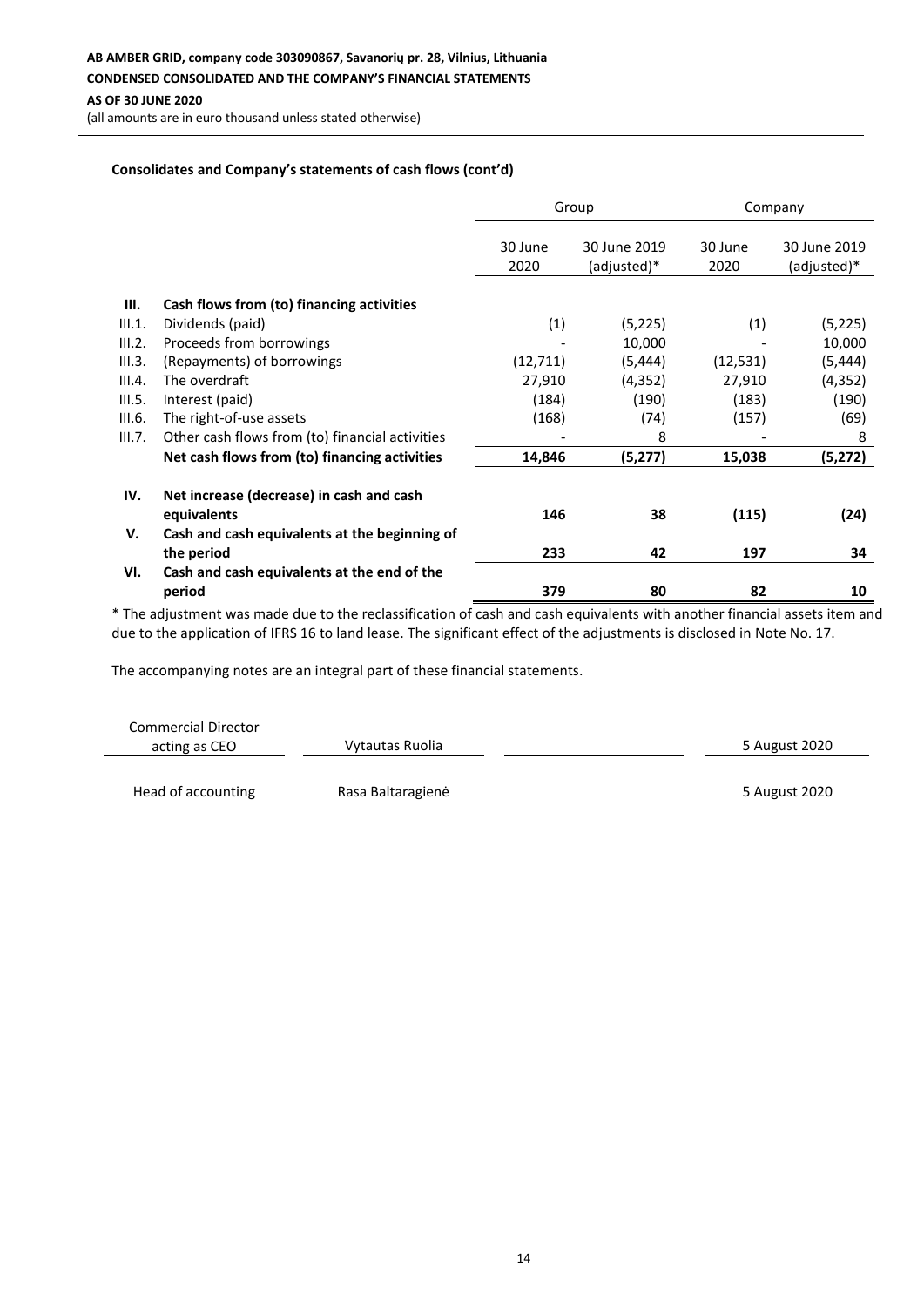(all amounts are in euro thousand unless stated otherwise)

### **Consolidates and Company's statements of cash flows (cont'd)**

|        |                                                         | Group           |                             | Company         |                             |
|--------|---------------------------------------------------------|-----------------|-----------------------------|-----------------|-----------------------------|
|        |                                                         | 30 June<br>2020 | 30 June 2019<br>(adjusted)* | 30 June<br>2020 | 30 June 2019<br>(adjusted)* |
| Ш.     | Cash flows from (to) financing activities               |                 |                             |                 |                             |
| III.1. | Dividends (paid)                                        | (1)             | (5, 225)                    | (1)             | (5, 225)                    |
| III.2. | Proceeds from borrowings                                |                 | 10,000                      |                 | 10,000                      |
| III.3. | (Repayments) of borrowings                              | (12, 711)       | (5, 444)                    | (12, 531)       | (5, 444)                    |
| III.4. | The overdraft                                           | 27,910          | (4, 352)                    | 27,910          | (4, 352)                    |
| III.5. | Interest (paid)                                         | (184)           | (190)                       | (183)           | (190)                       |
| III.6. | The right-of-use assets                                 | (168)           | (74)                        | (157)           | (69)                        |
| III.7. | Other cash flows from (to) financial activities         |                 | 8                           |                 | 8                           |
|        | Net cash flows from (to) financing activities           | 14,846          | (5,277)                     | 15,038          | (5, 272)                    |
| IV.    | Net increase (decrease) in cash and cash<br>equivalents | 146             | 38                          | (115)           | (24)                        |
| V.     | Cash and cash equivalents at the beginning of           |                 |                             |                 |                             |
|        | the period                                              | 233             | 42                          | 197             | 34                          |
| VI.    | Cash and cash equivalents at the end of the             |                 |                             |                 |                             |
|        | period                                                  | 379             | 80                          | 82              | 10                          |

\* The adjustment was made due to the reclassification of cash and cash equivalents with another financial assets item and due to the application of IFRS 16 to land lease. The significant effect of the adjustments is disclosed in Note No. 17.

| <b>Commercial Director</b> |                   |               |
|----------------------------|-------------------|---------------|
| acting as CEO              | Vytautas Ruolia   | 5 August 2020 |
| Head of accounting         | Rasa Baltaragienė | 5 August 2020 |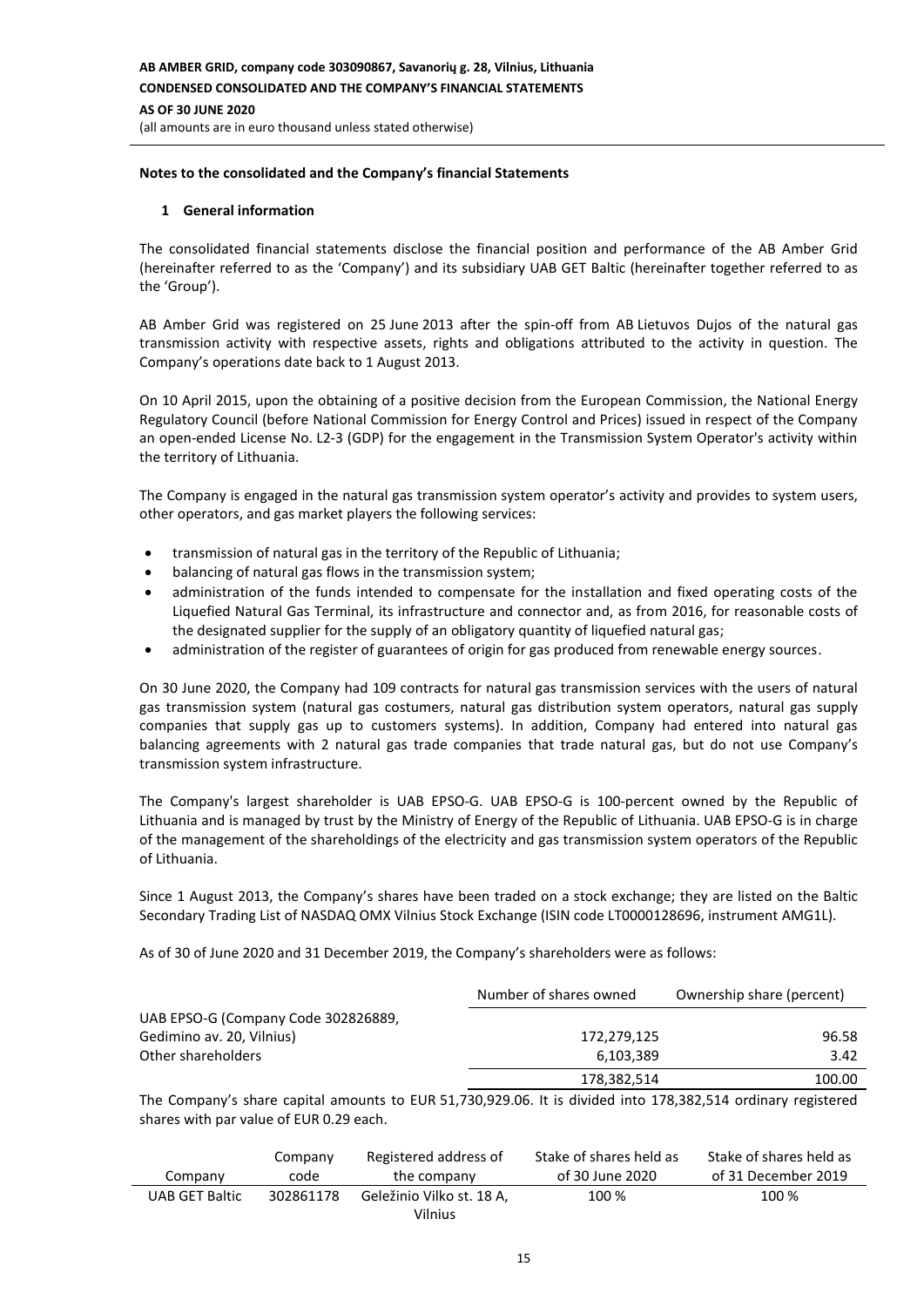### **Notes to the consolidated and the Company's financial Statements**

#### **1 General information**

The consolidated financial statements disclose the financial position and performance of the AB Amber Grid (hereinafter referred to as the 'Company') and its subsidiary UAB GET Baltic (hereinafter together referred to as the 'Group').

AB Amber Grid was registered on 25 June 2013 after the spin-off from AB Lietuvos Dujos of the natural gas transmission activity with respective assets, rights and obligations attributed to the activity in question. The Company's operations date back to 1 August 2013.

On 10 April 2015, upon the obtaining of a positive decision from the European Commission, the National Energy Regulatory Council (before National Commission for Energy Control and Prices) issued in respect of the Company an open-ended License No. L2-3 (GDP) for the engagement in the Transmission System Operator's activity within the territory of Lithuania.

The Company is engaged in the natural gas transmission system operator's activity and provides to system users, other operators, and gas market players the following services:

- transmission of natural gas in the territory of the Republic of Lithuania;
- balancing of natural gas flows in the transmission system;
- administration of the funds intended to compensate for the installation and fixed operating costs of the Liquefied Natural Gas Terminal, its infrastructure and connector and, as from 2016, for reasonable costs of the designated supplier for the supply of an obligatory quantity of liquefied natural gas;
- administration of the register of guarantees of origin for gas produced from renewable energy sources.

On 30 June 2020, the Company had 109 contracts for natural gas transmission services with the users of natural gas transmission system (natural gas costumers, natural gas distribution system operators, natural gas supply companies that supply gas up to customers systems). In addition, Company had entered into natural gas balancing agreements with 2 natural gas trade companies that trade natural gas, but do not use Company's transmission system infrastructure.

The Company's largest shareholder is UAB EPSO-G. UAB EPSO-G is 100-percent owned by the Republic of Lithuania and is managed by trust by the Ministry of Energy of the Republic of Lithuania. UAB EPSO-G is in charge of the management of the shareholdings of the electricity and gas transmission system operators of the Republic of Lithuania.

Since 1 August 2013, the Company's shares have been traded on a stock exchange; they are listed on the Baltic Secondary Trading List of NASDAQ OMX Vilnius Stock Exchange (ISIN code LT0000128696, instrument AMG1L).

As of 30 of June 2020 and 31 December 2019, the Company's shareholders were as follows:

|                                     | Number of shares owned | Ownership share (percent) |
|-------------------------------------|------------------------|---------------------------|
| UAB EPSO-G (Company Code 302826889, |                        |                           |
| Gedimino av. 20, Vilnius)           | 172,279,125            | 96.58                     |
| Other shareholders                  | 6,103,389              | 3.42                      |
|                                     | 178,382,514            | 100.00                    |

The Company's share capital amounts to EUR 51,730,929.06. It is divided into 178,382,514 ordinary registered shares with par value of EUR 0.29 each.

|                       | Company   | Registered address of     | Stake of shares held as | Stake of shares held as |
|-----------------------|-----------|---------------------------|-------------------------|-------------------------|
| Company               | code      | the company               | of 30 June 2020         | of 31 December 2019     |
| <b>UAB GET Baltic</b> | 302861178 | Geležinio Vilko st. 18 A. | 100 %                   | 100 %                   |
|                       |           | Vilnius                   |                         |                         |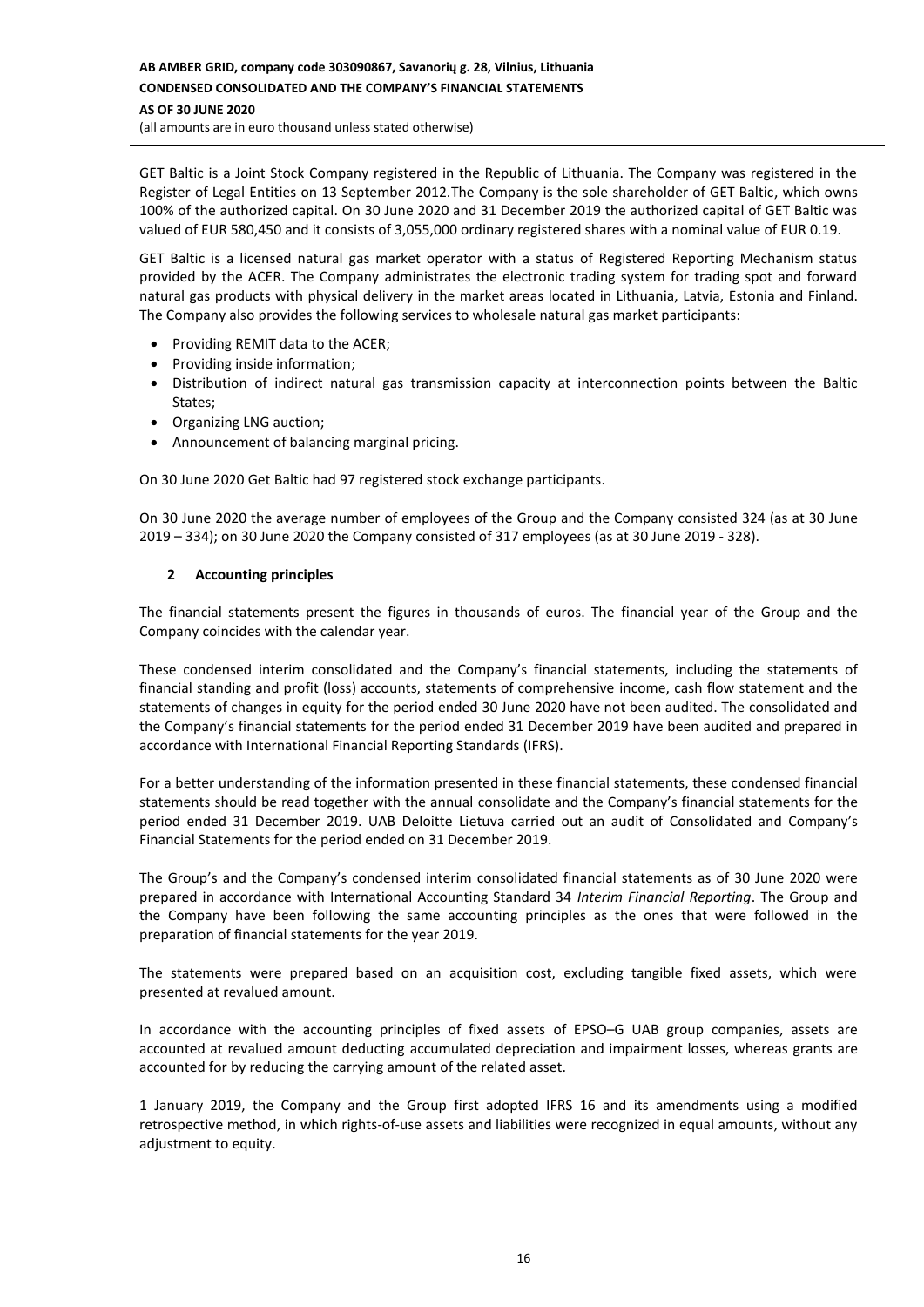# **AB AMBER GRID, company code 303090867, Savanorių g. 28, Vilnius, Lithuania CONDENSED CONSOLIDATED AND THE COMPANY'S FINANCIAL STATEMENTS AS OF 30 JUNE 2020**

(all amounts are in euro thousand unless stated otherwise)

GET Baltic is a Joint Stock Company registered in the Republic of Lithuania. The Company was registered in the Register of Legal Entities on 13 September 2012.The Company is the sole shareholder of GET Baltic, which owns 100% of the authorized capital. On 30 June 2020 and 31 December 2019 the authorized capital of GET Baltic was valued of EUR 580,450 and it consists of 3,055,000 ordinary registered shares with a nominal value of EUR 0.19.

GET Baltic is a licensed natural gas market operator with a status of Registered Reporting Mechanism status provided by the ACER. The Company administrates the electronic trading system for trading spot and forward natural gas products with physical delivery in the market areas located in Lithuania, Latvia, Estonia and Finland. The Company also provides the following services to wholesale natural gas market participants:

- Providing REMIT data to the ACER;
- Providing inside information;
- Distribution of indirect natural gas transmission capacity at interconnection points between the Baltic States;
- Organizing LNG auction;
- Announcement of balancing marginal pricing.

On 30 June 2020 Get Baltic had 97 registered stock exchange participants.

On 30 June 2020 the average number of employees of the Group and the Company consisted 324 (as at 30 June 2019 – 334); on 30 June 2020 the Company consisted of 317 employees (as at 30 June 2019 - 328).

### **2 Accounting principles**

The financial statements present the figures in thousands of euros. The financial year of the Group and the Company coincides with the calendar year.

These condensed interim consolidated and the Company's financial statements, including the statements of financial standing and profit (loss) accounts, statements of comprehensive income, cash flow statement and the statements of changes in equity for the period ended 30 June 2020 have not been audited. The consolidated and the Company's financial statements for the period ended 31 December 2019 have been audited and prepared in accordance with International Financial Reporting Standards (IFRS).

For a better understanding of the information presented in these financial statements, these condensed financial statements should be read together with the annual consolidate and the Company's financial statements for the period ended 31 December 2019. UAB Deloitte Lietuva carried out an audit of Consolidated and Company's Financial Statements for the period ended on 31 December 2019.

The Group's and the Company's condensed interim consolidated financial statements as of 30 June 2020 were prepared in accordance with International Accounting Standard 34 *Interim Financial Reporting*. The Group and the Company have been following the same accounting principles as the ones that were followed in the preparation of financial statements for the year 2019.

The statements were prepared based on an acquisition cost, excluding tangible fixed assets, which were presented at revalued amount.

In accordance with the accounting principles of fixed assets of EPSO–G UAB group companies, assets are accounted at revalued amount deducting accumulated depreciation and impairment losses, whereas grants are accounted for by reducing the carrying amount of the related asset.

1 January 2019, the Company and the Group first adopted IFRS 16 and its amendments using a modified retrospective method, in which rights-of-use assets and liabilities were recognized in equal amounts, without any adjustment to equity.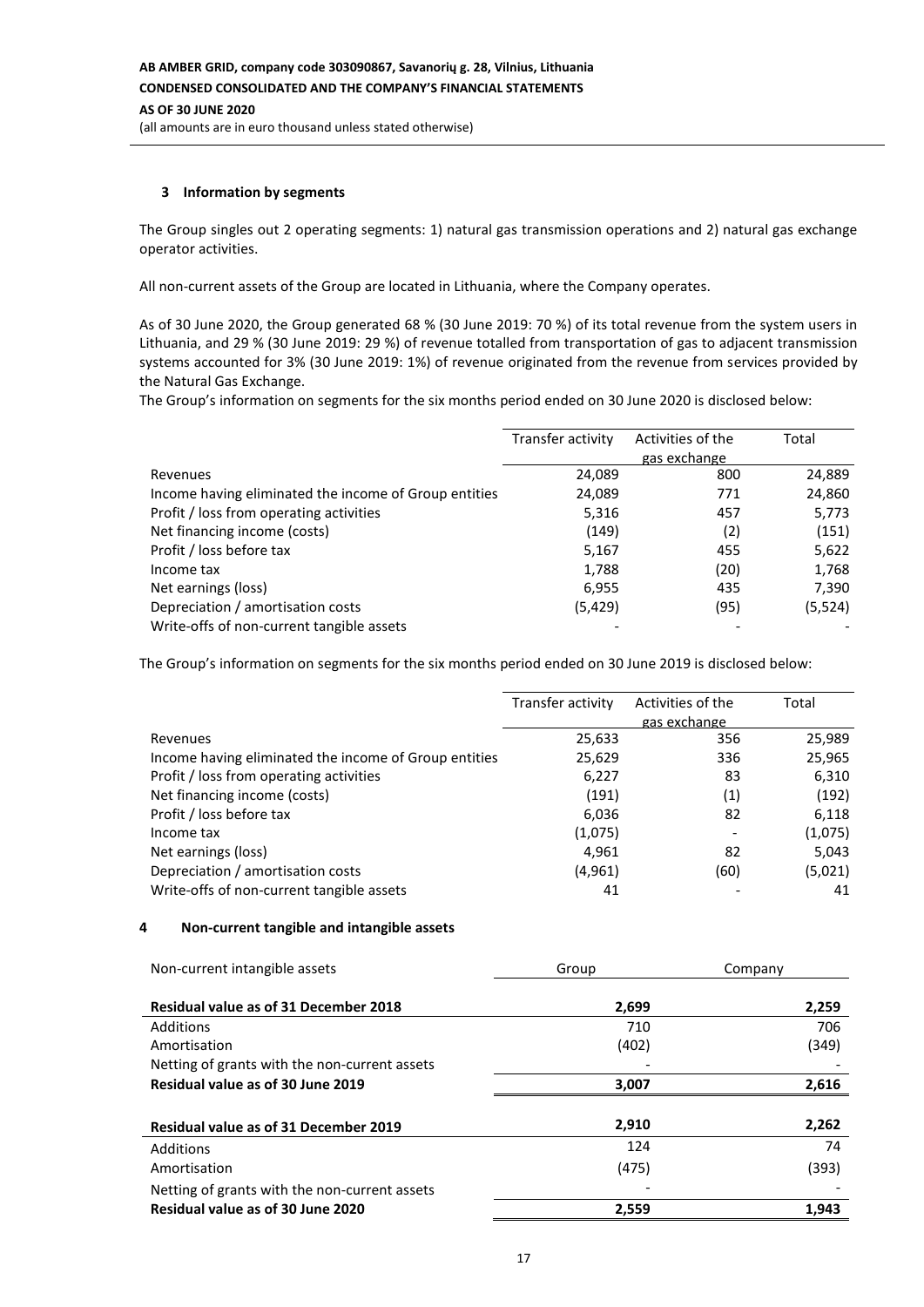### **3 Information by segments**

The Group singles out 2 operating segments: 1) natural gas transmission operations and 2) natural gas exchange operator activities.

All non-current assets of the Group are located in Lithuania, where the Company operates.

As of 30 June 2020, the Group generated 68 % (30 June 2019: 70 %) of its total revenue from the system users in Lithuania, and 29 % (30 June 2019: 29 %) of revenue totalled from transportation of gas to adjacent transmission systems accounted for 3% (30 June 2019: 1%) of revenue originated from the revenue from services provided by the Natural Gas Exchange.

The Group's information on segments for the six months period ended on 30 June 2020 is disclosed below:

|                                                       | Transfer activity | Activities of the | Total   |
|-------------------------------------------------------|-------------------|-------------------|---------|
|                                                       |                   | gas exchange      |         |
| Revenues                                              | 24,089            | 800               | 24,889  |
| Income having eliminated the income of Group entities | 24,089            | 771               | 24,860  |
| Profit / loss from operating activities               | 5,316             | 457               | 5,773   |
| Net financing income (costs)                          | (149)             | (2)               | (151)   |
| Profit / loss before tax                              | 5,167             | 455               | 5,622   |
| Income tax                                            | 1,788             | (20)              | 1,768   |
| Net earnings (loss)                                   | 6,955             | 435               | 7,390   |
| Depreciation / amortisation costs                     | (5,429)           | (95)              | (5,524) |
| Write-offs of non-current tangible assets             |                   |                   |         |

The Group's information on segments for the six months period ended on 30 June 2019 is disclosed below:

|                                                       | Transfer activity | Activities of the | Total   |
|-------------------------------------------------------|-------------------|-------------------|---------|
|                                                       |                   | gas exchange      |         |
| Revenues                                              | 25,633            | 356               | 25,989  |
| Income having eliminated the income of Group entities | 25,629            | 336               | 25,965  |
| Profit / loss from operating activities               | 6,227             | 83                | 6,310   |
| Net financing income (costs)                          | (191)             | (1)               | (192)   |
| Profit / loss before tax                              | 6,036             | 82                | 6,118   |
| Income tax                                            | (1,075)           |                   | (1,075) |
| Net earnings (loss)                                   | 4,961             | 82                | 5,043   |
| Depreciation / amortisation costs                     | (4,961)           | (60)              | (5,021) |
| Write-offs of non-current tangible assets             | 41                |                   | 41      |

### **4 Non-current tangible and intangible assets**

| Non-current intangible assets                 | Group | Company |
|-----------------------------------------------|-------|---------|
| <b>Residual value as of 31 December 2018</b>  | 2,699 | 2,259   |
|                                               |       |         |
| Additions                                     | 710   | 706     |
| Amortisation                                  | (402) | (349)   |
| Netting of grants with the non-current assets |       |         |
| Residual value as of 30 June 2019             | 3,007 | 2,616   |
|                                               |       |         |
| <b>Residual value as of 31 December 2019</b>  | 2,910 | 2,262   |
| Additions                                     | 124   | 74      |
| Amortisation                                  | (475) | (393)   |
| Netting of grants with the non-current assets |       |         |
| Residual value as of 30 June 2020             | 2,559 | 1,943   |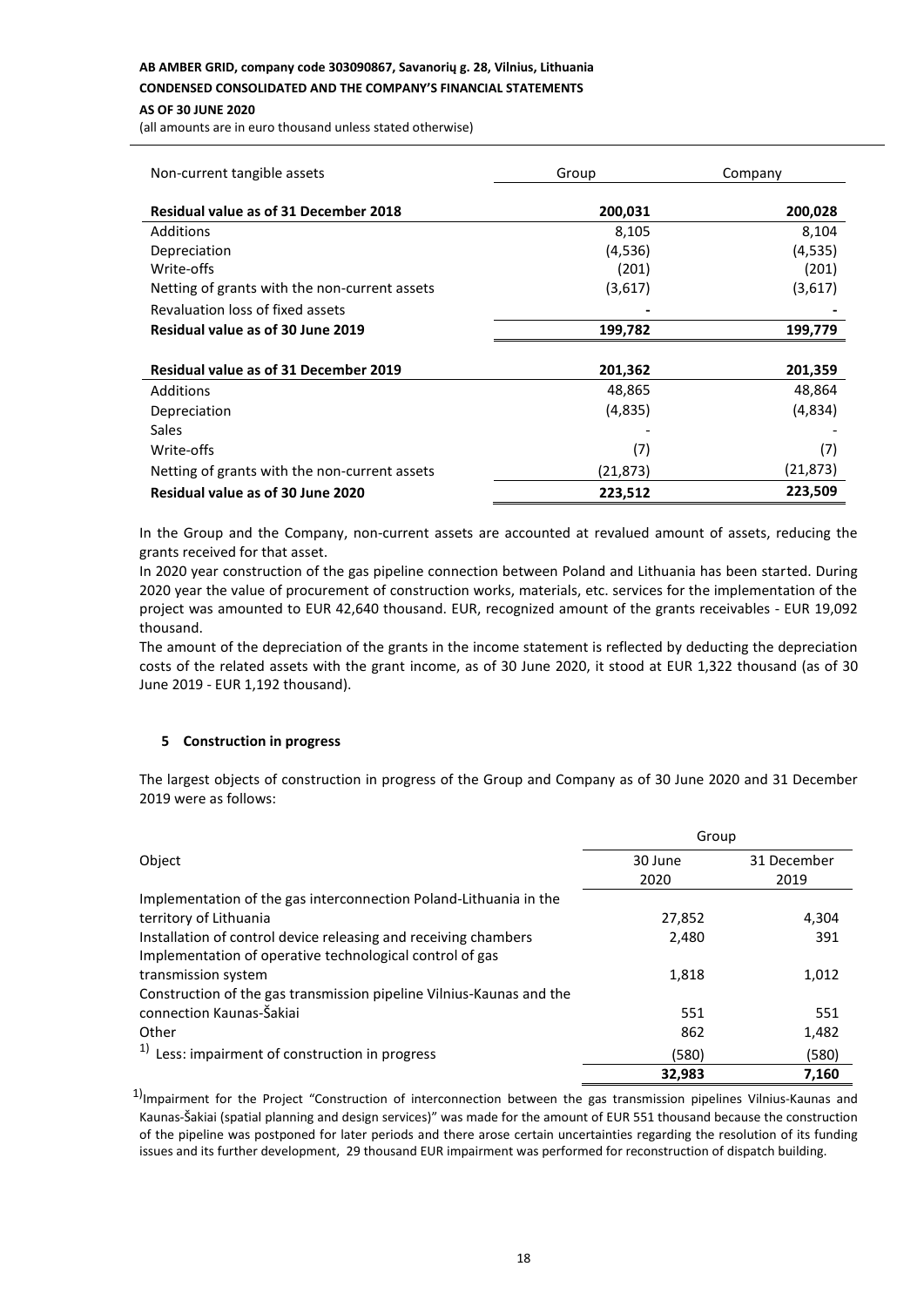### **AB AMBER GRID, company code 303090867, Savanorių g. 28, Vilnius, Lithuania**

**CONDENSED CONSOLIDATED AND THE COMPANY'S FINANCIAL STATEMENTS**

#### **AS OF 30 JUNE 2020**

(all amounts are in euro thousand unless stated otherwise)

| Non-current tangible assets                   | Group     | Company   |  |
|-----------------------------------------------|-----------|-----------|--|
| <b>Residual value as of 31 December 2018</b>  | 200,031   | 200,028   |  |
| Additions                                     | 8,105     | 8,104     |  |
| Depreciation                                  | (4,536)   | (4,535)   |  |
| Write-offs                                    | (201)     | (201)     |  |
| Netting of grants with the non-current assets | (3,617)   | (3,617)   |  |
| Revaluation loss of fixed assets              |           |           |  |
| Residual value as of 30 June 2019             | 199,782   | 199,779   |  |
|                                               |           |           |  |
| <b>Residual value as of 31 December 2019</b>  | 201,362   | 201,359   |  |
| Additions                                     | 48,865    | 48,864    |  |
| Depreciation                                  | (4,835)   | (4,834)   |  |
| Sales                                         |           |           |  |
| Write-offs                                    | (7)       | (7)       |  |
| Netting of grants with the non-current assets | (21, 873) | (21, 873) |  |
| Residual value as of 30 June 2020             | 223,512   | 223,509   |  |

In the Group and the Company, non-current assets are accounted at revalued amount of assets, reducing the grants received for that asset.

In 2020 year construction of the gas pipeline connection between Poland and Lithuania has been started. During 2020 year the value of procurement of construction works, materials, etc. services for the implementation of the project was amounted to EUR 42,640 thousand. EUR, recognized amount of the grants receivables - EUR 19,092 thousand.

The amount of the depreciation of the grants in the income statement is reflected by deducting the depreciation costs of the related assets with the grant income, as of 30 June 2020, it stood at EUR 1,322 thousand (as of 30 June 2019 - EUR 1,192 thousand).

### **5 Construction in progress**

The largest objects of construction in progress of the Group and Company as of 30 June 2020 and 31 December 2019 were as follows:

|                                                                      | Group   |             |  |
|----------------------------------------------------------------------|---------|-------------|--|
| Object                                                               | 30 June | 31 December |  |
|                                                                      | 2020    | 2019        |  |
| Implementation of the gas interconnection Poland-Lithuania in the    |         |             |  |
| territory of Lithuania                                               | 27,852  | 4,304       |  |
| Installation of control device releasing and receiving chambers      | 2,480   | 391         |  |
| Implementation of operative technological control of gas             |         |             |  |
| transmission system                                                  | 1,818   | 1,012       |  |
| Construction of the gas transmission pipeline Vilnius-Kaunas and the |         |             |  |
| connection Kaunas-Šakiai                                             | 551     | 551         |  |
| Other                                                                | 862     | 1,482       |  |
| <sup>1)</sup> Less: impairment of construction in progress           | (580)   | (580)       |  |
|                                                                      | 32,983  | 7,160       |  |

 $1)$ Impairment for the Project "Construction of interconnection between the gas transmission pipelines Vilnius-Kaunas and Kaunas-Šakiai (spatial planning and design services)" was made for the amount of EUR 551 thousand because the construction of the pipeline was postponed for later periods and there arose certain uncertainties regarding the resolution of its funding issues and its further development, 29 thousand EUR impairment was performed for reconstruction of dispatch building.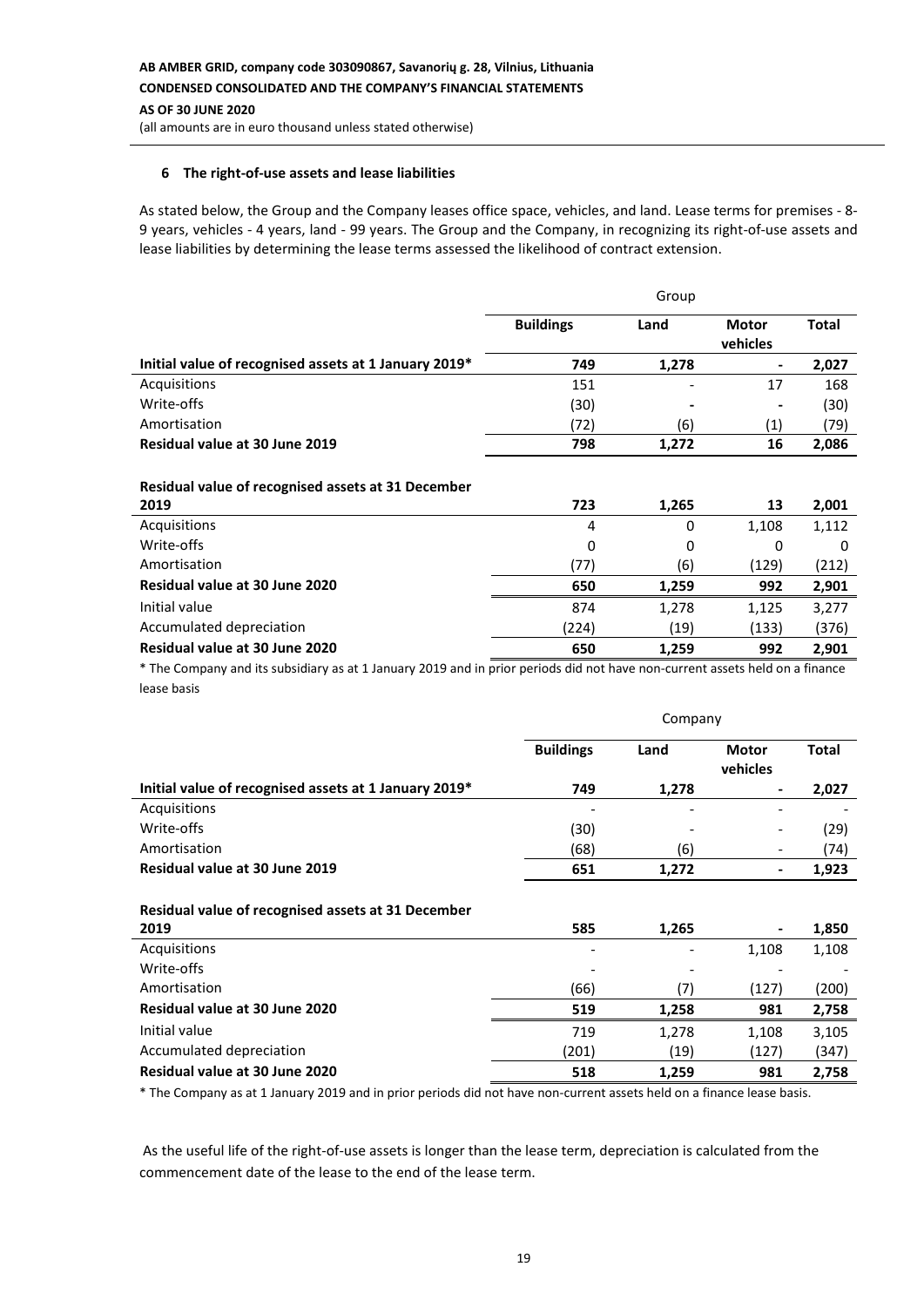### **6 The right-of-use assets and lease liabilities**

As stated below, the Group and the Company leases office space, vehicles, and land. Lease terms for premises - 8- 9 years, vehicles - 4 years, land - 99 years. The Group and the Company, in recognizing its right-of-use assets and lease liabilities by determining the lease terms assessed the likelihood of contract extension.

|                                                       | Group            |                          |                          |              |
|-------------------------------------------------------|------------------|--------------------------|--------------------------|--------------|
|                                                       | <b>Buildings</b> | Land                     | <b>Motor</b><br>vehicles | <b>Total</b> |
| Initial value of recognised assets at 1 January 2019* | 749              | 1,278                    | $\qquad \qquad$          | 2,027        |
| Acquisitions                                          | 151              | $\overline{\phantom{a}}$ | 17                       | 168          |
| Write-offs                                            | (30)             | $\overline{\phantom{a}}$ | $\overline{\phantom{0}}$ | (30)         |
| Amortisation                                          | (72)             | (6)                      | $\left( 1\right)$        | (79)         |
| Residual value at 30 June 2019                        | 798              | 1,272                    | 16                       | 2,086        |
|                                                       |                  |                          |                          |              |

### **Residual value of recognised assets at 31 December**

| 2019                           | 723   | 1,265 | 13    | 2,001 |
|--------------------------------|-------|-------|-------|-------|
| Acquisitions                   | 4     | 0     | 1,108 | 1,112 |
| Write-offs                     | 0     | 0     | 0     | 0     |
| Amortisation                   | (77)  | (6)   | (129) | (212) |
| Residual value at 30 June 2020 | 650   | 1.259 | 992   | 2,901 |
| Initial value                  | 874   | 1,278 | 1,125 | 3,277 |
| Accumulated depreciation       | (224) | (19)  | (133) | (376) |
| Residual value at 30 June 2020 | 650   | 1.259 | 992   | 2.901 |
|                                |       |       |       |       |

\* The Company and its subsidiary as at 1 January 2019 and in prior periods did not have non-current assets held on a finance lease basis

|                                                       | Company          |       |                          |              |
|-------------------------------------------------------|------------------|-------|--------------------------|--------------|
|                                                       | <b>Buildings</b> | Land  | <b>Motor</b><br>vehicles | <b>Total</b> |
| Initial value of recognised assets at 1 January 2019* | 749              | 1,278 |                          | 2,027        |
| Acquisitions                                          |                  |       |                          |              |
| Write-offs                                            | (30)             |       |                          | (29)         |
| Amortisation                                          | (68)             | (6)   |                          | (74)         |
| Residual value at 30 June 2019                        | 651              | 1,272 | -                        | 1,923        |
| Residual value of recognised assets at 31 December    |                  |       |                          |              |
| 2019                                                  | 585              | 1,265 |                          | 1,850        |
| Acquisitions                                          |                  |       | 1,108                    | 1,108        |
| Write-offs                                            |                  |       |                          |              |
| Amortisation                                          | (66)             | (7)   | (127)                    | (200)        |
| Residual value at 30 June 2020                        | 519              | 1,258 | 981                      | 2,758        |
| Initial value                                         | 719              | 1,278 | 1,108                    | 3,105        |
| Accumulated depreciation                              | (201)            | (19)  | (127)                    | (347)        |
| Residual value at 30 June 2020                        | 518              | 1,259 | 981                      | 2,758        |

\* The Company as at 1 January 2019 and in prior periods did not have non-current assets held on a finance lease basis.

As the useful life of the right-of-use assets is longer than the lease term, depreciation is calculated from the commencement date of the lease to the end of the lease term.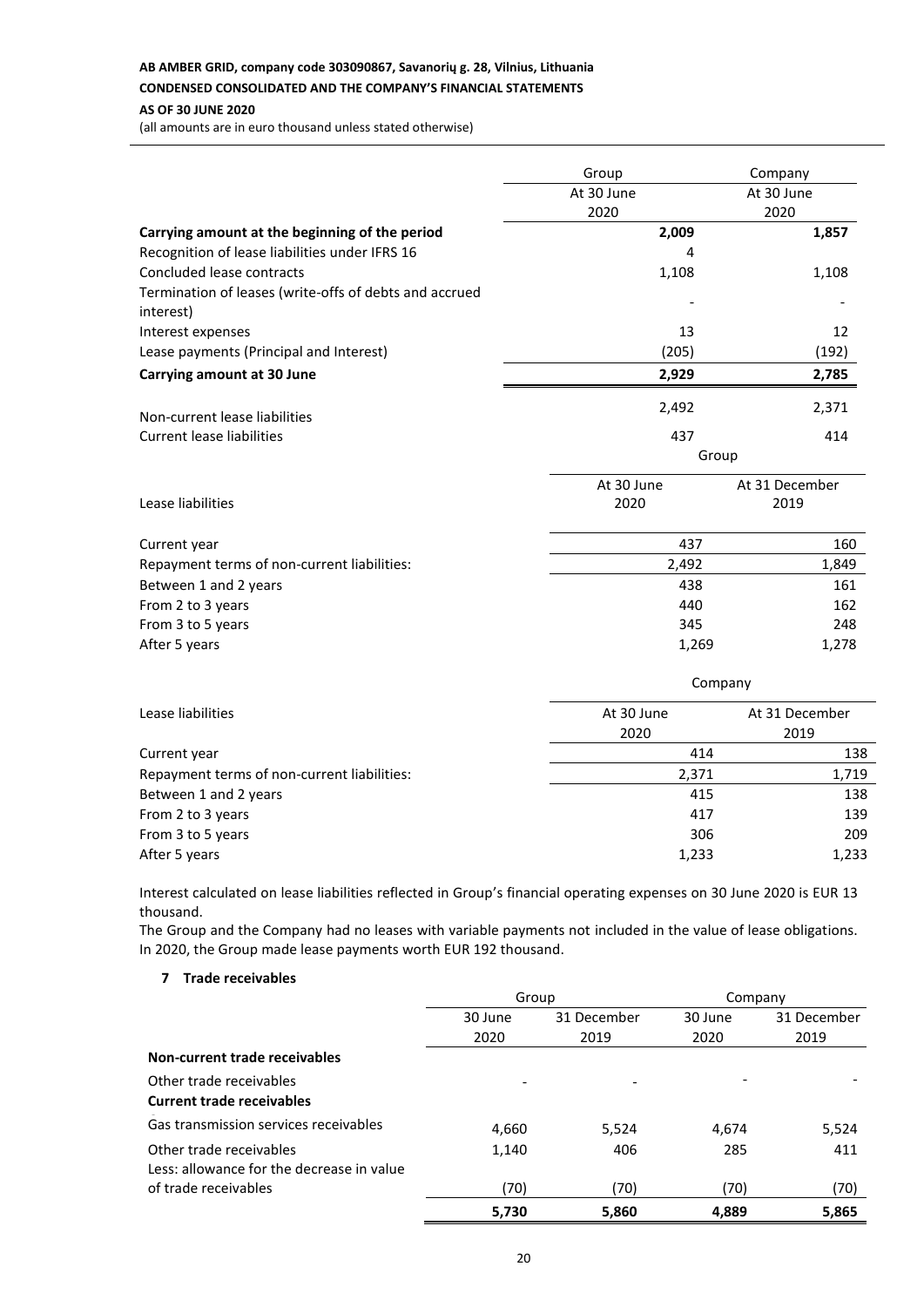# **AB AMBER GRID, company code 303090867, Savanorių g. 28, Vilnius, Lithuania**

## **CONDENSED CONSOLIDATED AND THE COMPANY'S FINANCIAL STATEMENTS**

#### **AS OF 30 JUNE 2020**

(all amounts are in euro thousand unless stated otherwise)

|                                                                     | Group      | Company        |  |  |
|---------------------------------------------------------------------|------------|----------------|--|--|
|                                                                     | At 30 June | At 30 June     |  |  |
|                                                                     | 2020       | 2020           |  |  |
| Carrying amount at the beginning of the period                      | 2,009      | 1,857          |  |  |
| Recognition of lease liabilities under IFRS 16                      | 4          |                |  |  |
| Concluded lease contracts                                           | 1,108      | 1,108          |  |  |
| Termination of leases (write-offs of debts and accrued<br>interest) |            |                |  |  |
| Interest expenses                                                   | 13         | 12             |  |  |
| Lease payments (Principal and Interest)                             | (205)      | (192)          |  |  |
| <b>Carrying amount at 30 June</b>                                   | 2,929      | 2,785          |  |  |
| Non-current lease liabilities                                       | 2,492      | 2,371          |  |  |
| <b>Current lease liabilities</b>                                    | 437        | 414            |  |  |
|                                                                     | Group      |                |  |  |
|                                                                     | At 30 June | At 31 December |  |  |
| Lease liabilities                                                   | 2020       | 2019           |  |  |
| Current year                                                        | 437        | 160            |  |  |
| Repayment terms of non-current liabilities:                         | 2,492      | 1,849          |  |  |
| Between 1 and 2 years                                               | 438        | 161            |  |  |
| From 2 to 3 years                                                   | 440        | 162            |  |  |
| From 3 to 5 years                                                   | 345        | 248            |  |  |
| After 5 years                                                       | 1,269      | 1,278          |  |  |
|                                                                     |            | Company        |  |  |
| Lease liabilities                                                   | At 30 June | At 31 December |  |  |
|                                                                     | 2020       | 2019           |  |  |
| Current year                                                        | 414        | 138            |  |  |
| Repayment terms of non-current liabilities:                         | 2,371      | 1,719          |  |  |

Between 1 and 2 years 138 From 2 to 3 years 139 From 3 to 5 years 209 After 5 years 1,233 and 1,233 and 1,233 and 1,233 and 1,233 and 1,233 and 1,233 and 1,233 and 1,233 and 1,233

Interest calculated on lease liabilities reflected in Group's financial operating expenses on 30 June 2020 is EUR 13 thousand.

The Group and the Company had no leases with variable payments not included in the value of lease obligations. In 2020, the Group made lease payments worth EUR 192 thousand.

## **7 Trade receivables**

|                                           | Group   |             | Company |             |
|-------------------------------------------|---------|-------------|---------|-------------|
|                                           | 30 June | 31 December | 30 June | 31 December |
|                                           | 2020    | 2019        | 2020    | 2019        |
| Non-current trade receivables             |         |             |         |             |
| Other trade receivables                   |         |             |         |             |
| <b>Current trade receivables</b>          |         |             |         |             |
| Gas transmission services receivables     | 4,660   | 5,524       | 4,674   | 5,524       |
| Other trade receivables                   | 1,140   | 406         | 285     | 411         |
| Less: allowance for the decrease in value |         |             |         |             |
| of trade receivables                      | (70)    | (70)        | (70)    | (70)        |
|                                           | 5,730   | 5,860       | 4,889   | 5,865       |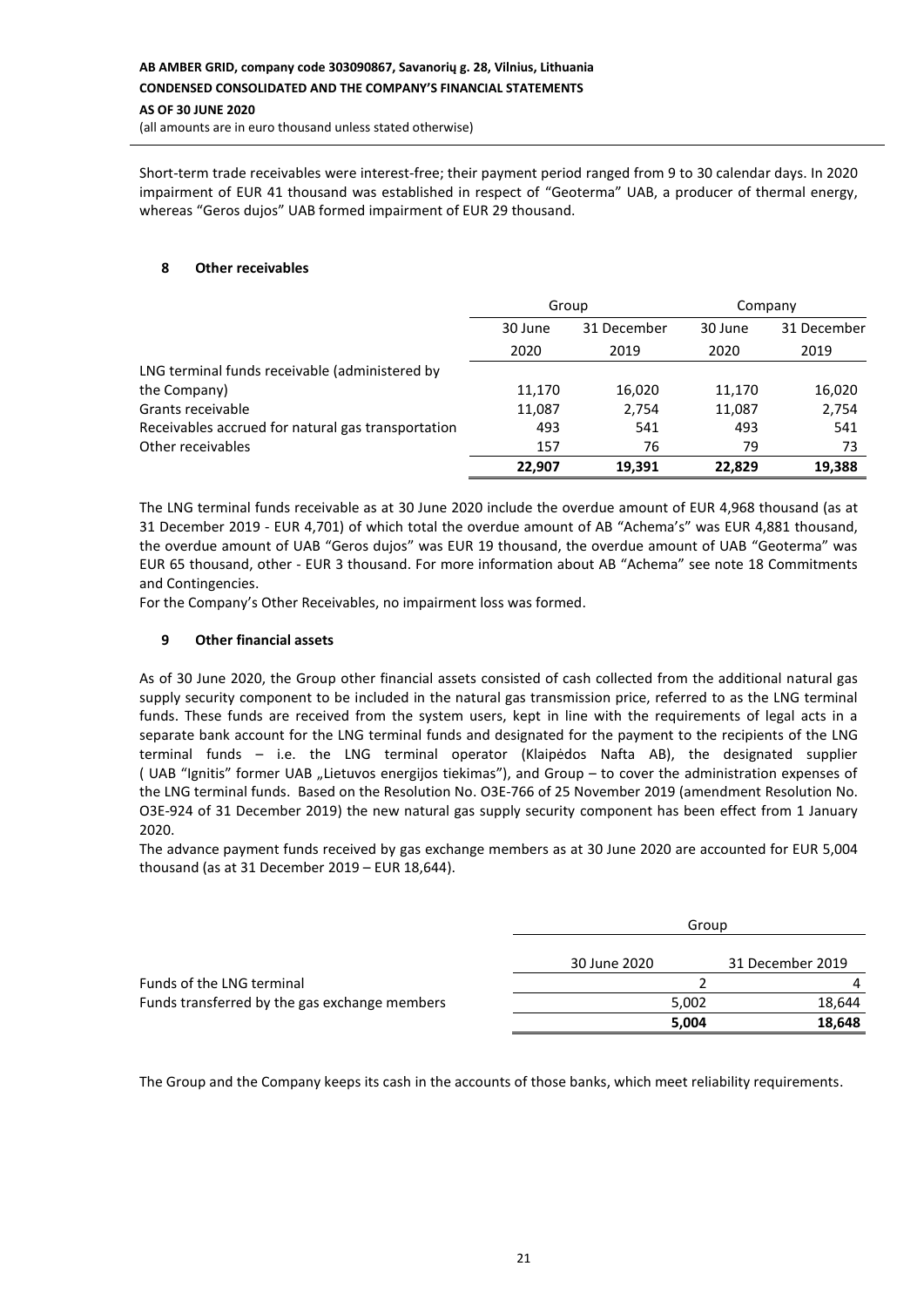Short-term trade receivables were interest-free; their payment period ranged from 9 to 30 calendar days. In 2020 impairment of EUR 41 thousand was established in respect of "Geoterma" UAB, a producer of thermal energy, whereas "Geros dujos" UAB formed impairment of EUR 29 thousand.

### **8 Other receivables**

|                                                    | Group   |             | Company |             |
|----------------------------------------------------|---------|-------------|---------|-------------|
|                                                    | 30 June | 31 December | 30 June | 31 December |
|                                                    | 2020    | 2019        | 2020    | 2019        |
| LNG terminal funds receivable (administered by     |         |             |         |             |
| the Company)                                       | 11,170  | 16,020      | 11,170  | 16,020      |
| Grants receivable                                  | 11,087  | 2,754       | 11,087  | 2,754       |
| Receivables accrued for natural gas transportation | 493     | 541         | 493     | 541         |
| Other receivables                                  | 157     | 76          | 79      | 73          |
|                                                    | 22,907  | 19,391      | 22,829  | 19,388      |

The LNG terminal funds receivable as at 30 June 2020 include the overdue amount of EUR 4,968 thousand (as at 31 December 2019 - EUR 4,701) of which total the overdue amount of AB "Achema's" was EUR 4,881 thousand, the overdue amount of UAB "Geros dujos" was EUR 19 thousand, the overdue amount of UAB "Geoterma" was EUR 65 thousand, other - EUR 3 thousand. For more information about AB "Achema" see note 18 Commitments and Contingencies.

For the Company's Other Receivables, no impairment loss was formed.

### **9 Other financial assets**

As of 30 June 2020, the Group other financial assets consisted of cash collected from the additional natural gas supply security component to be included in the natural gas transmission price, referred to as the LNG terminal funds. These funds are received from the system users, kept in line with the requirements of legal acts in a separate bank account for the LNG terminal funds and designated for the payment to the recipients of the LNG terminal funds – i.e. the LNG terminal operator (Klaipėdos Nafta AB), the designated supplier ( UAB "Ignitis" former UAB "Lietuvos energijos tiekimas"), and Group – to cover the administration expenses of the LNG terminal funds. Based on the Resolution No. O3E-766 of 25 November 2019 (amendment Resolution No. O3E-924 of 31 December 2019) the new natural gas supply security component has been effect from 1 January 2020.

The advance payment funds received by gas exchange members as at 30 June 2020 are accounted for EUR 5,004 thousand (as at 31 December 2019 – EUR 18,644).

|                                               |              | Group |                  |
|-----------------------------------------------|--------------|-------|------------------|
|                                               | 30 June 2020 |       | 31 December 2019 |
| Funds of the LNG terminal                     |              |       | 4                |
| Funds transferred by the gas exchange members |              | 5,002 | 18.644           |
|                                               |              | 5,004 | 18,648           |

The Group and the Company keeps its cash in the accounts of those banks, which meet reliability requirements.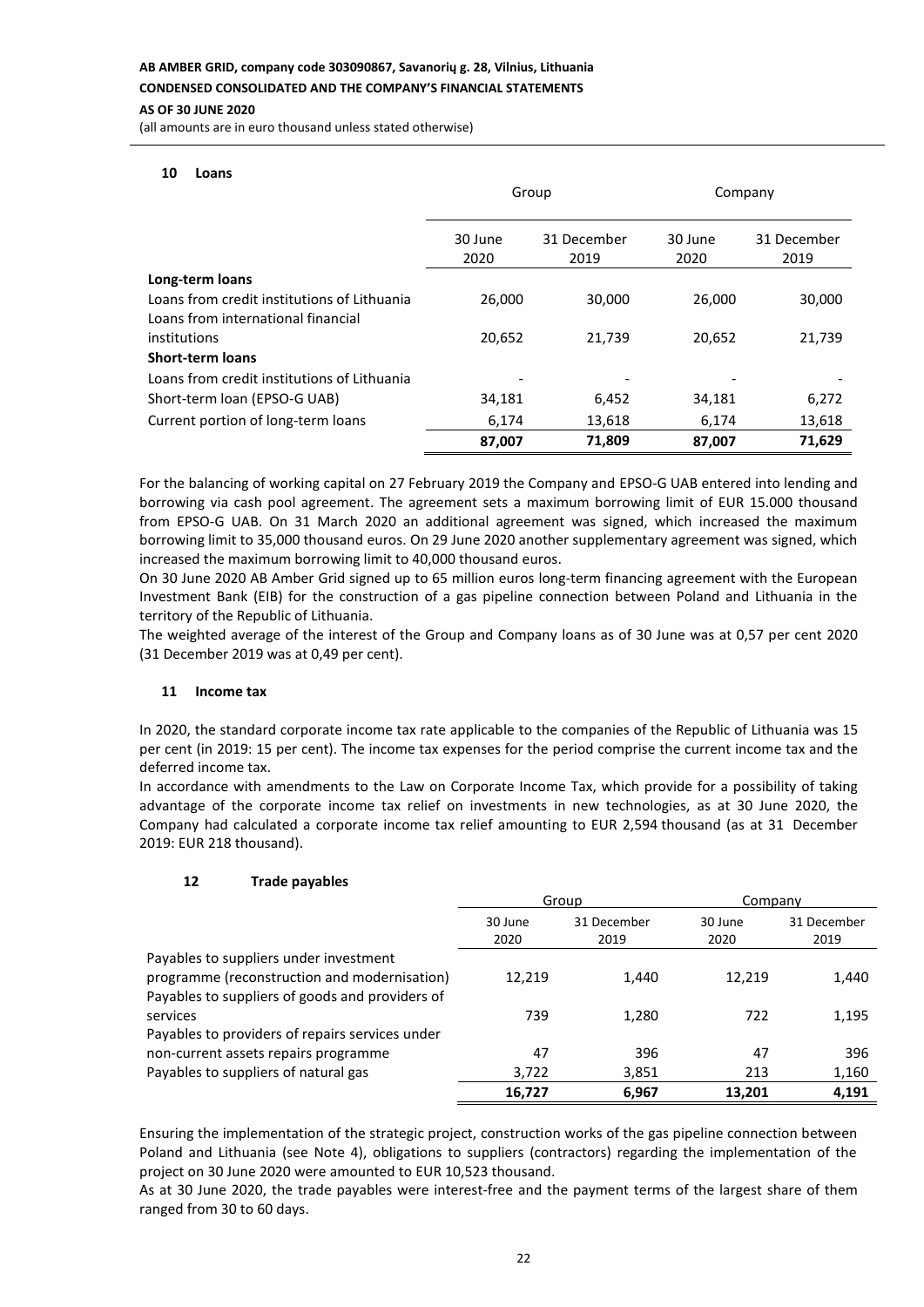### **AS OF 30 JUNE 2020**

(all amounts are in euro thousand unless stated otherwise)

#### **10 Loans**

|                                                                                   | Group           |                     | Company         |                     |
|-----------------------------------------------------------------------------------|-----------------|---------------------|-----------------|---------------------|
|                                                                                   | 30 June<br>2020 | 31 December<br>2019 | 30 June<br>2020 | 31 December<br>2019 |
| Long-term loans                                                                   |                 |                     |                 |                     |
| Loans from credit institutions of Lithuania<br>Loans from international financial | 26,000          | 30,000              | 26,000          | 30,000              |
| institutions                                                                      | 20,652          | 21,739              | 20,652          | 21,739              |
| <b>Short-term loans</b>                                                           |                 |                     |                 |                     |
| Loans from credit institutions of Lithuania                                       |                 |                     |                 |                     |
| Short-term loan (EPSO-G UAB)                                                      | 34,181          | 6,452               | 34,181          | 6,272               |
| Current portion of long-term loans                                                | 6,174           | 13,618              | 6,174           | 13,618              |
|                                                                                   | 87,007          | 71,809              | 87,007          | 71.629              |

For the balancing of working capital on 27 February 2019 the Company and EPSO-G UAB entered into lending and borrowing via cash pool agreement. The agreement sets a maximum borrowing limit of EUR 15.000 thousand from EPSO-G UAB. On 31 March 2020 an additional agreement was signed, which increased the maximum borrowing limit to 35,000 thousand euros. On 29 June 2020 another supplementary agreement was signed, which increased the maximum borrowing limit to 40,000 thousand euros.

On 30 June 2020 AB Amber Grid signed up to 65 million euros long-term financing agreement with the European Investment Bank (EIB) for the construction of a gas pipeline connection between Poland and Lithuania in the territory of the Republic of Lithuania.

The weighted average of the interest of the Group and Company loans as of 30 June was at 0,57 per cent 2020 (31 December 2019 was at 0,49 per cent).

#### **11 Income tax**

In 2020, the standard corporate income tax rate applicable to the companies of the Republic of Lithuania was 15 per cent (in 2019: 15 per cent). The income tax expenses for the period comprise the current income tax and the deferred income tax.

In accordance with amendments to the Law on Corporate Income Tax, which provide for a possibility of taking advantage of the corporate income tax relief on investments in new technologies, as at 30 June 2020, the Company had calculated a corporate income tax relief amounting to EUR 2,594 thousand (as at 31 December 2019: EUR 218 thousand).

#### **12 Trade payables**

|                                                 | Group           |                     | Company         |                     |
|-------------------------------------------------|-----------------|---------------------|-----------------|---------------------|
|                                                 | 30 June<br>2020 | 31 December<br>2019 | 30 June<br>2020 | 31 December<br>2019 |
| Payables to suppliers under investment          |                 |                     |                 |                     |
| programme (reconstruction and modernisation)    | 12.219          | 1,440               | 12.219          | 1,440               |
| Payables to suppliers of goods and providers of |                 |                     |                 |                     |
| services                                        | 739             | 1,280               | 722             | 1,195               |
| Payables to providers of repairs services under |                 |                     |                 |                     |
| non-current assets repairs programme            | 47              | 396                 | 47              | 396                 |
| Payables to suppliers of natural gas            | 3,722           | 3,851               | 213             | 1,160               |
|                                                 | 16,727          | 6,967               | 13.201          | 4.191               |

Ensuring the implementation of the strategic project, construction works of the gas pipeline connection between Poland and Lithuania (see Note 4), obligations to suppliers (contractors) regarding the implementation of the project on 30 June 2020 were amounted to EUR 10,523 thousand.

As at 30 June 2020, the trade payables were interest-free and the payment terms of the largest share of them ranged from 30 to 60 days.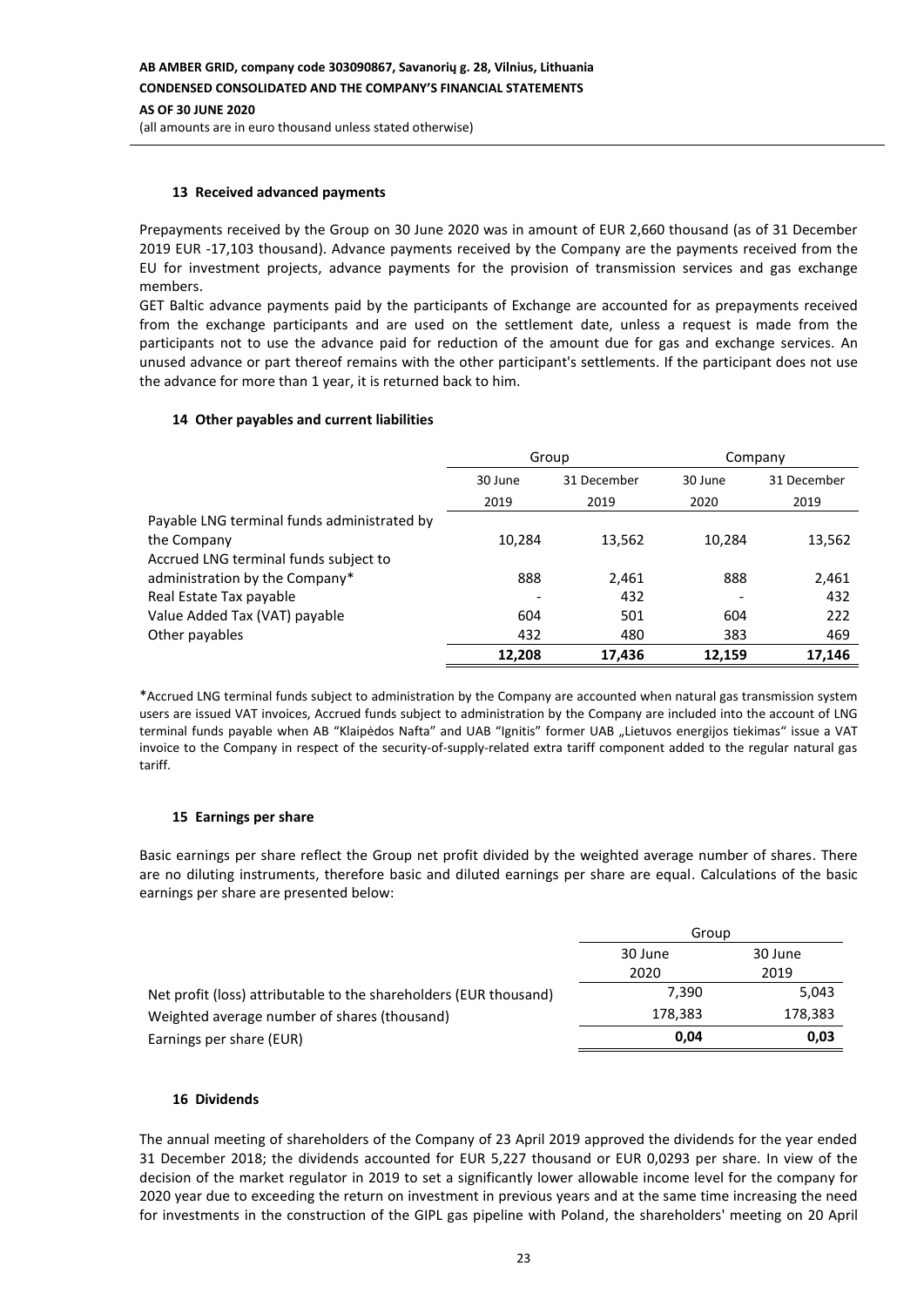### **13 Received advanced payments**

Prepayments received by the Group on 30 June 2020 was in amount of EUR 2,660 thousand (as of 31 December 2019 EUR -17,103 thousand). Advance payments received by the Company are the payments received from the EU for investment projects, advance payments for the provision of transmission services and gas exchange members.

GET Baltic advance payments paid by the participants of Exchange are accounted for as prepayments received from the exchange participants and are used on the settlement date, unless a request is made from the participants not to use the advance paid for reduction of the amount due for gas and exchange services. An unused advance or part thereof remains with the other participant's settlements. If the participant does not use the advance for more than 1 year, it is returned back to him.

### **14 Other payables and current liabilities**

|                                             | Group   |             | Company                  |             |
|---------------------------------------------|---------|-------------|--------------------------|-------------|
|                                             | 30 June | 31 December | 30 June                  | 31 December |
|                                             | 2019    | 2019        | 2020                     | 2019        |
| Payable LNG terminal funds administrated by |         |             |                          |             |
| the Company                                 | 10,284  | 13,562      | 10,284                   | 13,562      |
| Accrued LNG terminal funds subject to       |         |             |                          |             |
| administration by the Company*              | 888     | 2,461       | 888                      | 2,461       |
| Real Estate Tax payable                     |         | 432         | $\overline{\phantom{a}}$ | 432         |
| Value Added Tax (VAT) payable               | 604     | 501         | 604                      | 222         |
| Other payables                              | 432     | 480         | 383                      | 469         |
|                                             | 12.208  | 17,436      | 12,159                   | 17.146      |

\*Accrued LNG terminal funds subject to administration by the Company are accounted when natural gas transmission system users are issued VAT invoices, Accrued funds subject to administration by the Company are included into the account of LNG terminal funds payable when AB "Klaipėdos Nafta" and UAB "Ignitis" former UAB "Lietuvos energijos tiekimas" issue a VAT invoice to the Company in respect of the security-of-supply-related extra tariff component added to the regular natural gas tariff.

### **15 Earnings per share**

Basic earnings per share reflect the Group net profit divided by the weighted average number of shares. There are no diluting instruments, therefore basic and diluted earnings per share are equal. Calculations of the basic earnings per share are presented below:

|                                                                   | Group              |         |  |
|-------------------------------------------------------------------|--------------------|---------|--|
|                                                                   | 30 June<br>30 June |         |  |
|                                                                   | 2020               | 2019    |  |
| Net profit (loss) attributable to the shareholders (EUR thousand) | 7.390              | 5,043   |  |
| Weighted average number of shares (thousand)                      | 178,383            | 178,383 |  |
| Earnings per share (EUR)                                          | 0.04               | 0,03    |  |

### **16 Dividends**

The annual meeting of shareholders of the Company of 23 April 2019 approved the dividends for the year ended 31 December 2018; the dividends accounted for EUR 5,227 thousand or EUR 0,0293 per share. In view of the decision of the market regulator in 2019 to set a significantly lower allowable income level for the company for 2020 year due to exceeding the return on investment in previous years and at the same time increasing the need for investments in the construction of the GIPL gas pipeline with Poland, the shareholders' meeting on 20 April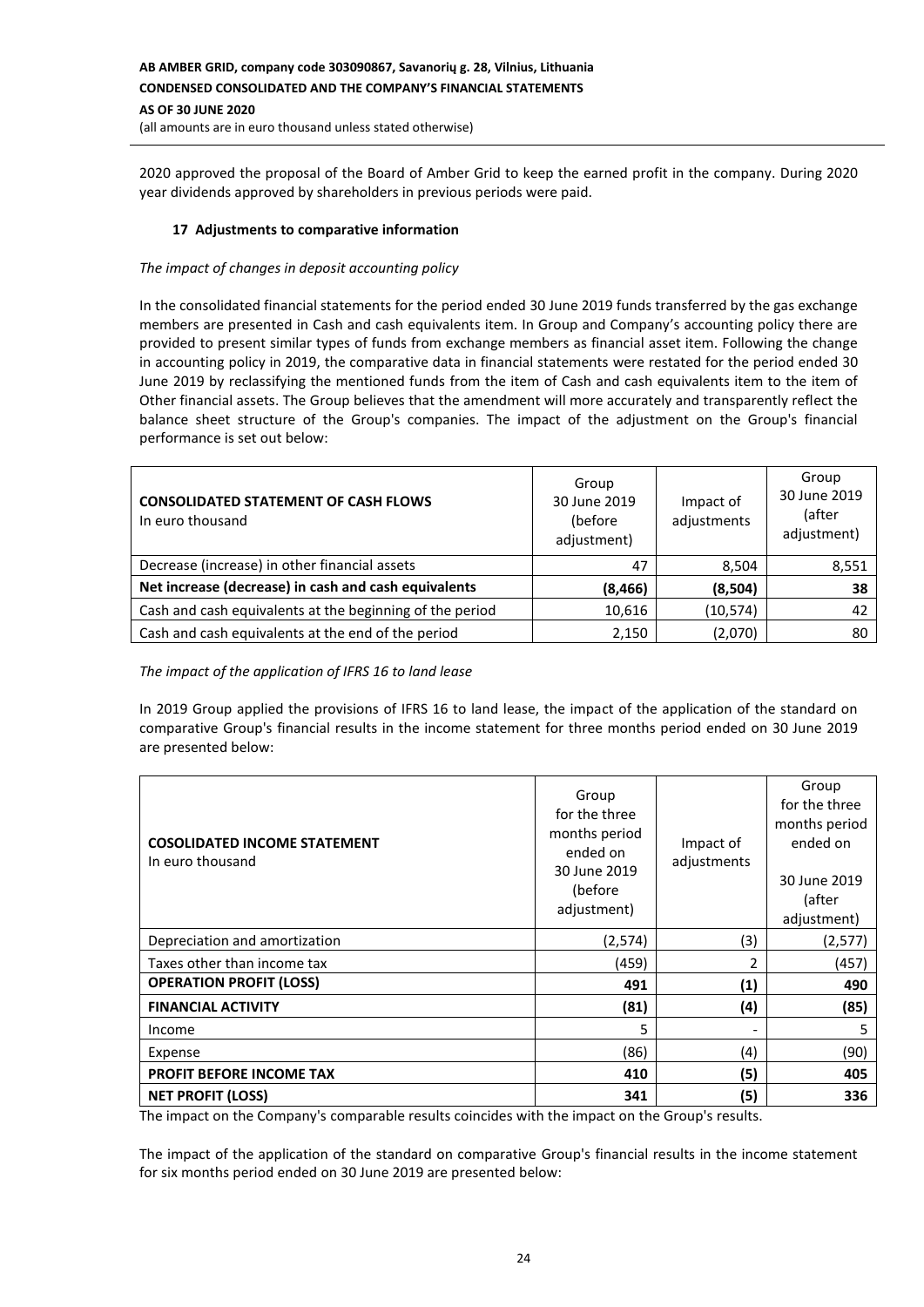### **AB AMBER GRID, company code 303090867, Savanorių g. 28, Vilnius, Lithuania CONDENSED CONSOLIDATED AND THE COMPANY'S FINANCIAL STATEMENTS AS OF 30 JUNE 2020** (all amounts are in euro thousand unless stated otherwise)

2020 approved the proposal of the Board of Amber Grid to keep the earned profit in the company. During 2020 year dividends approved by shareholders in previous periods were paid.

### **17 Adjustments to comparative information**

### *The impact of changes in deposit accounting policy*

In the consolidated financial statements for the period ended 30 June 2019 funds transferred by the gas exchange members are presented in Cash and cash equivalents item. In Group and Company's accounting policy there are provided to present similar types of funds from exchange members as financial asset item. Following the change in accounting policy in 2019, the comparative data in financial statements were restated for the period ended 30 June 2019 by reclassifying the mentioned funds from the item of Cash and cash equivalents item to the item of Other financial assets. The Group believes that the amendment will more accurately and transparently reflect the balance sheet structure of the Group's companies. The impact of the adjustment on the Group's financial performance is set out below:

| <b>CONSOLIDATED STATEMENT OF CASH FLOWS</b><br>In euro thousand | Group<br>30 June 2019<br>(before<br>adjustment) | Impact of<br>adjustments | Group<br>30 June 2019<br>(after<br>adjustment) |
|-----------------------------------------------------------------|-------------------------------------------------|--------------------------|------------------------------------------------|
| Decrease (increase) in other financial assets                   | 47                                              | 8,504                    | 8,551                                          |
| Net increase (decrease) in cash and cash equivalents            | (8, 466)                                        | (8,504)                  | 38                                             |
| Cash and cash equivalents at the beginning of the period        | 10,616                                          | (10, 574)                | 42                                             |
| Cash and cash equivalents at the end of the period              | 2,150                                           | (2,070)                  | 80                                             |

### *The impact of the application of IFRS 16 to land lease*

In 2019 Group applied the provisions of IFRS 16 to land lease, the impact of the application of the standard on comparative Group's financial results in the income statement for three months period ended on 30 June 2019 are presented below:

| <b>COSOLIDATED INCOME STATEMENT</b><br>In euro thousand | Group<br>for the three<br>months period<br>ended on<br>30 June 2019<br>(before<br>adjustment) | Impact of<br>adjustments | Group<br>for the three<br>months period<br>ended on<br>30 June 2019<br>(after<br>adjustment) |
|---------------------------------------------------------|-----------------------------------------------------------------------------------------------|--------------------------|----------------------------------------------------------------------------------------------|
| Depreciation and amortization                           | (2,574)                                                                                       | (3)                      | (2, 577)                                                                                     |
| Taxes other than income tax                             | (459)                                                                                         | 2                        | (457)                                                                                        |
| <b>OPERATION PROFIT (LOSS)</b>                          | 491                                                                                           | (1)                      | 490                                                                                          |
| <b>FINANCIAL ACTIVITY</b>                               | (81)                                                                                          | (4)                      | (85)                                                                                         |
| Income                                                  | 5                                                                                             | ۰                        | 5                                                                                            |
| Expense                                                 | (86)                                                                                          | (4)                      | (90)                                                                                         |
| PROFIT BEFORE INCOME TAX                                | 410                                                                                           | (5)                      | 405                                                                                          |
| <b>NET PROFIT (LOSS)</b>                                | 341                                                                                           | (5)                      | 336                                                                                          |

The impact on the Company's comparable results coincides with the impact on the Group's results.

The impact of the application of the standard on comparative Group's financial results in the income statement for six months period ended on 30 June 2019 are presented below: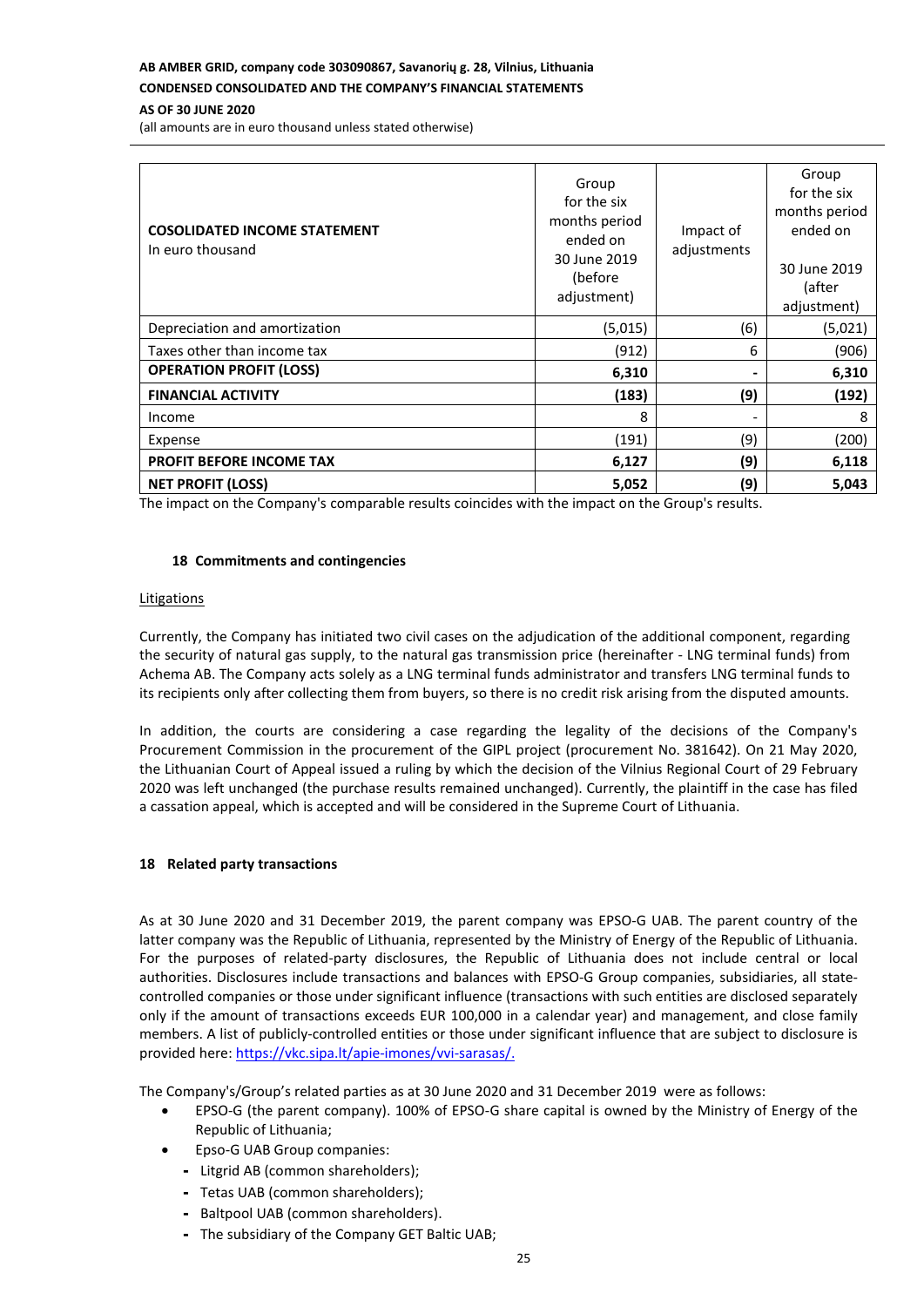# **AB AMBER GRID, company code 303090867, Savanorių g. 28, Vilnius, Lithuania**

# **CONDENSED CONSOLIDATED AND THE COMPANY'S FINANCIAL STATEMENTS**

**AS OF 30 JUNE 2020**

(all amounts are in euro thousand unless stated otherwise)

| <b>COSOLIDATED INCOME STATEMENT</b><br>In euro thousand | Group<br>for the six<br>months period<br>ended on<br>30 June 2019<br>(before<br>adjustment) | Impact of<br>adjustments | Group<br>for the six<br>months period<br>ended on<br>30 June 2019<br>(after<br>adjustment) |
|---------------------------------------------------------|---------------------------------------------------------------------------------------------|--------------------------|--------------------------------------------------------------------------------------------|
| Depreciation and amortization                           | (5,015)                                                                                     | (6)                      | (5,021)                                                                                    |
| Taxes other than income tax                             | (912)                                                                                       | 6                        | (906)                                                                                      |
| <b>OPERATION PROFIT (LOSS)</b>                          | 6,310                                                                                       | -                        | 6,310                                                                                      |
| <b>FINANCIAL ACTIVITY</b>                               | (183)                                                                                       | (9)                      | (192)                                                                                      |
| Income                                                  | 8                                                                                           | ۰                        | 8                                                                                          |
| Expense                                                 | (191)                                                                                       | (9)                      | (200)                                                                                      |
| <b>PROFIT BEFORE INCOME TAX</b>                         | 6,127                                                                                       | (9)                      | 6,118                                                                                      |
| <b>NET PROFIT (LOSS)</b>                                | 5,052                                                                                       | (9)                      | 5,043                                                                                      |

The impact on the Company's comparable results coincides with the impact on the Group's results.

### **18 Commitments and contingencies**

#### **Litigations**

Currently, the Company has initiated two civil cases on the adjudication of the additional component, regarding the security of natural gas supply, to the natural gas transmission price (hereinafter - LNG terminal funds) from Achema AB. The Company acts solely as a LNG terminal funds administrator and transfers LNG terminal funds to its recipients only after collecting them from buyers, so there is no credit risk arising from the disputed amounts.

In addition, the courts are considering a case regarding the legality of the decisions of the Company's Procurement Commission in the procurement of the GIPL project (procurement No. 381642). On 21 May 2020, the Lithuanian Court of Appeal issued a ruling by which the decision of the Vilnius Regional Court of 29 February 2020 was left unchanged (the purchase results remained unchanged). Currently, the plaintiff in the case has filed a cassation appeal, which is accepted and will be considered in the Supreme Court of Lithuania.

### **18 Related party transactions**

As at 30 June 2020 and 31 December 2019, the parent company was EPSO-G UAB. The parent country of the latter company was the Republic of Lithuania, represented by the Ministry of Energy of the Republic of Lithuania. For the purposes of related-party disclosures, the Republic of Lithuania does not include central or local authorities. Disclosures include transactions and balances with EPSO-G Group companies, subsidiaries, all statecontrolled companies or those under significant influence (transactions with such entities are disclosed separately only if the amount of transactions exceeds EUR 100,000 in a calendar year) and management, and close family members. A list of publicly-controlled entities or those under significant influence that are subject to disclosure is provided here: [https://vkc.sipa.lt/apie-imones/vvi-sarasas/.](https://vkc.sipa.lt/apie-imones/vvi-sarasas/)

The Company's/Group's related parties as at 30 June 2020 and 31 December 2019 were as follows:

- EPSO-G (the parent company). 100% of EPSO-G share capital is owned by the Ministry of Energy of the Republic of Lithuania;
- Epso-G UAB Group companies:
	- Litgrid AB (common shareholders);
	- Tetas UAB (common shareholders);
	- Baltpool UAB (common shareholders).
	- The subsidiary of the Company GET Baltic UAB;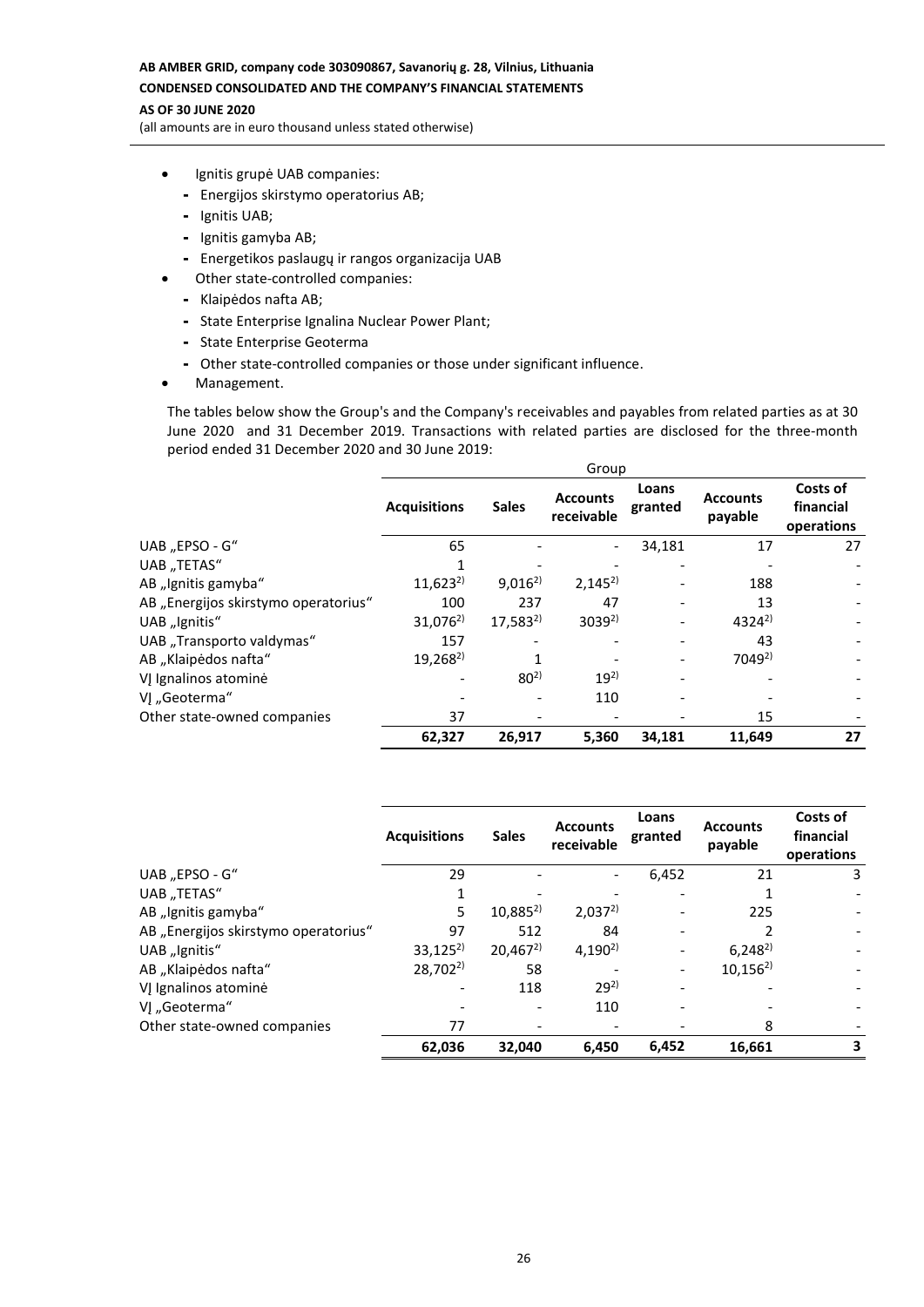# **AB AMBER GRID, company code 303090867, Savanorių g. 28, Vilnius, Lithuania CONDENSED CONSOLIDATED AND THE COMPANY'S FINANCIAL STATEMENTS**

#### **AS OF 30 JUNE 2020**

(all amounts are in euro thousand unless stated otherwise)

- Ignitis grupė UAB companies:
	- Energijos skirstymo operatorius AB;
	- Ignitis UAB;
	- Ignitis gamyba AB;
	- Energetikos paslaugų ir rangos organizacija UAB
- Other state-controlled companies:
	- Klaipėdos nafta AB;
	- State Enterprise Ignalina Nuclear Power Plant;
	- State Enterprise Geoterma
	- Other state-controlled companies or those under significant influence.
- Management.

The tables below show the Group's and the Company's receivables and payables from related parties as at 30 June 2020 and 31 December 2019. Transactions with related parties are disclosed for the three-month period ended 31 December 2020 and 30 June 2019:

|                                      | Group               |              |                               |                  |                            |                                     |
|--------------------------------------|---------------------|--------------|-------------------------------|------------------|----------------------------|-------------------------------------|
|                                      | <b>Acquisitions</b> | <b>Sales</b> | <b>Accounts</b><br>receivable | Loans<br>granted | <b>Accounts</b><br>payable | Costs of<br>financial<br>operations |
| UAB "EPSO - G"                       | 65                  |              |                               | 34,181           | 17                         | 27                                  |
| UAB "TETAS"                          |                     |              |                               |                  |                            |                                     |
| AB "Ignitis gamyba"                  | $11,623^{2}$        | $9,016^{2}$  | $2.145^{2}$                   |                  | 188                        |                                     |
| AB "Energijos skirstymo operatorius" | 100                 | 237          | 47                            |                  | 13                         |                                     |
| UAB "Ignitis"                        | $31,076^{2}$        | $17,583^{2}$ | $3039^{2}$                    |                  | $4324^{2}$                 |                                     |
| UAB "Transporto valdymas"            | 157                 |              |                               |                  | 43                         |                                     |
| AB "Klaipėdos nafta"                 | $19,268^{2}$        |              |                               |                  | 7049 <sup>2)</sup>         |                                     |
| VJ Ignalinos atominė                 |                     | $80^{2}$     | $19^{2}$                      |                  |                            |                                     |
| VI "Geoterma"                        |                     |              | 110                           |                  |                            |                                     |
| Other state-owned companies          | 37                  |              |                               |                  | 15                         |                                     |
|                                      | 62,327              | 26,917       | 5,360                         | 34,181           | 11,649                     | 27                                  |

|                                      | <b>Acquisitions</b> | <b>Sales</b> | <b>Accounts</b><br>receivable | Loans<br>granted | <b>Accounts</b><br>payable | Costs of<br>financial<br>operations |
|--------------------------------------|---------------------|--------------|-------------------------------|------------------|----------------------------|-------------------------------------|
| UAB "EPSO - G"                       | 29                  |              |                               | 6,452            | 21                         | 3                                   |
| UAB "TETAS"                          |                     |              |                               |                  |                            |                                     |
| AB "Ignitis gamyba"                  | 5                   | $10,885^{2}$ | $2,037^{2}$                   |                  | 225                        |                                     |
| AB "Energijos skirstymo operatorius" | 97                  | 512          | 84                            |                  |                            |                                     |
| UAB "Ignitis"                        | $33,125^{2}$        | $20,467^{2}$ | $4,190^{2}$                   |                  | $6,248^{2}$                |                                     |
| AB "Klaipėdos nafta"                 | $28,702^{2}$        | 58           |                               | -                | $10,156^{2}$               |                                     |
| VĮ Ignalinos atominė                 |                     | 118          | $29^{2}$                      |                  |                            |                                     |
| VJ "Geoterma"                        |                     |              | 110                           |                  |                            |                                     |
| Other state-owned companies          | 77                  |              |                               |                  | 8                          |                                     |
|                                      | 62,036              | 32.040       | 6.450                         | 6,452            | 16.661                     | 3                                   |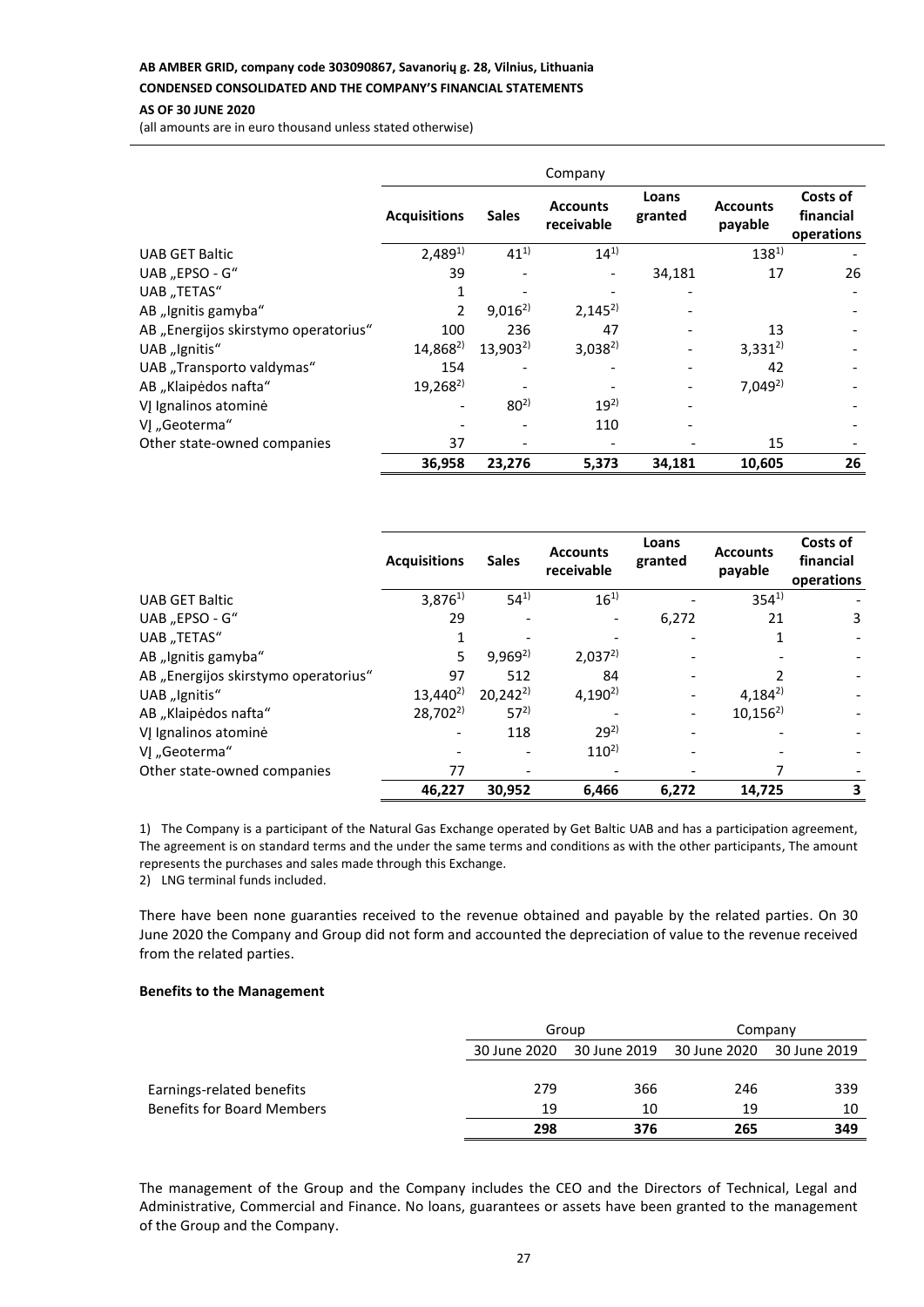### **AB AMBER GRID, company code 303090867, Savanorių g. 28, Vilnius, Lithuania**

### **CONDENSED CONSOLIDATED AND THE COMPANY'S FINANCIAL STATEMENTS**

#### **AS OF 30 JUNE 2020**

(all amounts are in euro thousand unless stated otherwise)

|                                      |                     |              | Company                       |                  |                            |                                     |
|--------------------------------------|---------------------|--------------|-------------------------------|------------------|----------------------------|-------------------------------------|
|                                      | <b>Acquisitions</b> | <b>Sales</b> | <b>Accounts</b><br>receivable | Loans<br>granted | <b>Accounts</b><br>payable | Costs of<br>financial<br>operations |
| <b>UAB GET Baltic</b>                | $2,489^{1}$         | $41^{1}$     | $14^{1}$                      |                  | $138^{1}$                  |                                     |
| UAB "EPSO - G"                       | 39                  |              |                               | 34,181           | 17                         | 26                                  |
| UAB "TETAS"                          | 1                   |              |                               |                  |                            |                                     |
| AB "Ignitis gamyba"                  | 2                   | $9,016^{2}$  | $2,145^{2}$                   |                  |                            |                                     |
| AB "Energijos skirstymo operatorius" | 100                 | 236          | 47                            |                  | 13                         |                                     |
| UAB "Ignitis"                        | $14,868^{2}$        | $13.903^{2}$ | $3,038^{2}$                   |                  | $3,331^{2}$                |                                     |
| UAB "Transporto valdymas"            | 154                 |              |                               |                  | 42                         |                                     |
| AB "Klaipėdos nafta"                 | $19,268^{2}$        |              |                               |                  | $7,049^{2}$                |                                     |
| VJ Ignalinos atominė                 |                     | $80^{2}$     | $19^{2}$                      |                  |                            |                                     |
| VI "Geoterma"                        |                     |              | 110                           |                  |                            |                                     |
| Other state-owned companies          | 37                  |              |                               |                  | 15                         |                                     |
|                                      | 36,958              | 23,276       | 5,373                         | 34,181           | 10,605                     | 26                                  |

|                                      | <b>Acquisitions</b> | <b>Sales</b> | <b>Accounts</b><br>receivable | Loans<br>granted | <b>Accounts</b><br>payable | Costs of<br>financial<br>operations |
|--------------------------------------|---------------------|--------------|-------------------------------|------------------|----------------------------|-------------------------------------|
| <b>UAB GET Baltic</b>                | $3,876^{1}$         | $54^{1}$     | $16^{1}$                      |                  | $354^{1}$                  |                                     |
| UAB "EPSO - G"                       | 29                  |              |                               | 6,272            | 21                         | 3                                   |
| UAB "TETAS"                          |                     |              |                               |                  |                            |                                     |
| AB "Ignitis gamyba"                  | 5                   | $9,969^{2}$  | $2,037^{2}$                   |                  |                            |                                     |
| AB "Energijos skirstymo operatorius" | 97                  | 512          | 84                            |                  |                            |                                     |
| UAB "Ignitis"                        | $13,440^{2}$        | $20,242^{2}$ | $4,190^{2}$                   |                  | $4.184^{2}$                |                                     |
| AB "Klaipėdos nafta"                 | $28,702^{2}$        | $57^{2}$     |                               |                  | $10,156^{2}$               |                                     |
| VĮ Ignalinos atominė                 |                     | 118          | $29^{2}$                      |                  |                            |                                     |
| VJ "Geoterma"                        |                     |              | $110^{2}$                     |                  |                            |                                     |
| Other state-owned companies          | 77                  |              |                               |                  |                            |                                     |
|                                      | 46,227              | 30,952       | 6,466                         | 6,272            | 14,725                     | 3                                   |

1) The Company is a participant of the Natural Gas Exchange operated by Get Baltic UAB and has a participation agreement, The agreement is on standard terms and the under the same terms and conditions as with the other participants, The amount represents the purchases and sales made through this Exchange.

2) LNG terminal funds included.

There have been none guaranties received to the revenue obtained and payable by the related parties. On 30 June 2020 the Company and Group did not form and accounted the depreciation of value to the revenue received from the related parties.

### **Benefits to the Management**

|                                   |              | Group | Company |              |  |
|-----------------------------------|--------------|-------|---------|--------------|--|
|                                   | 30 June 2020 |       |         | 30 June 2019 |  |
|                                   |              |       |         |              |  |
| Earnings-related benefits         | 279          | 366   | 246     | 339          |  |
| <b>Benefits for Board Members</b> | 19           | 10    | 19      | 10           |  |
|                                   | 298          | 376   | 265     | 349          |  |

The management of the Group and the Company includes the CEO and the Directors of Technical, Legal and Administrative, Commercial and Finance. No loans, guarantees or assets have been granted to the management of the Group and the Company.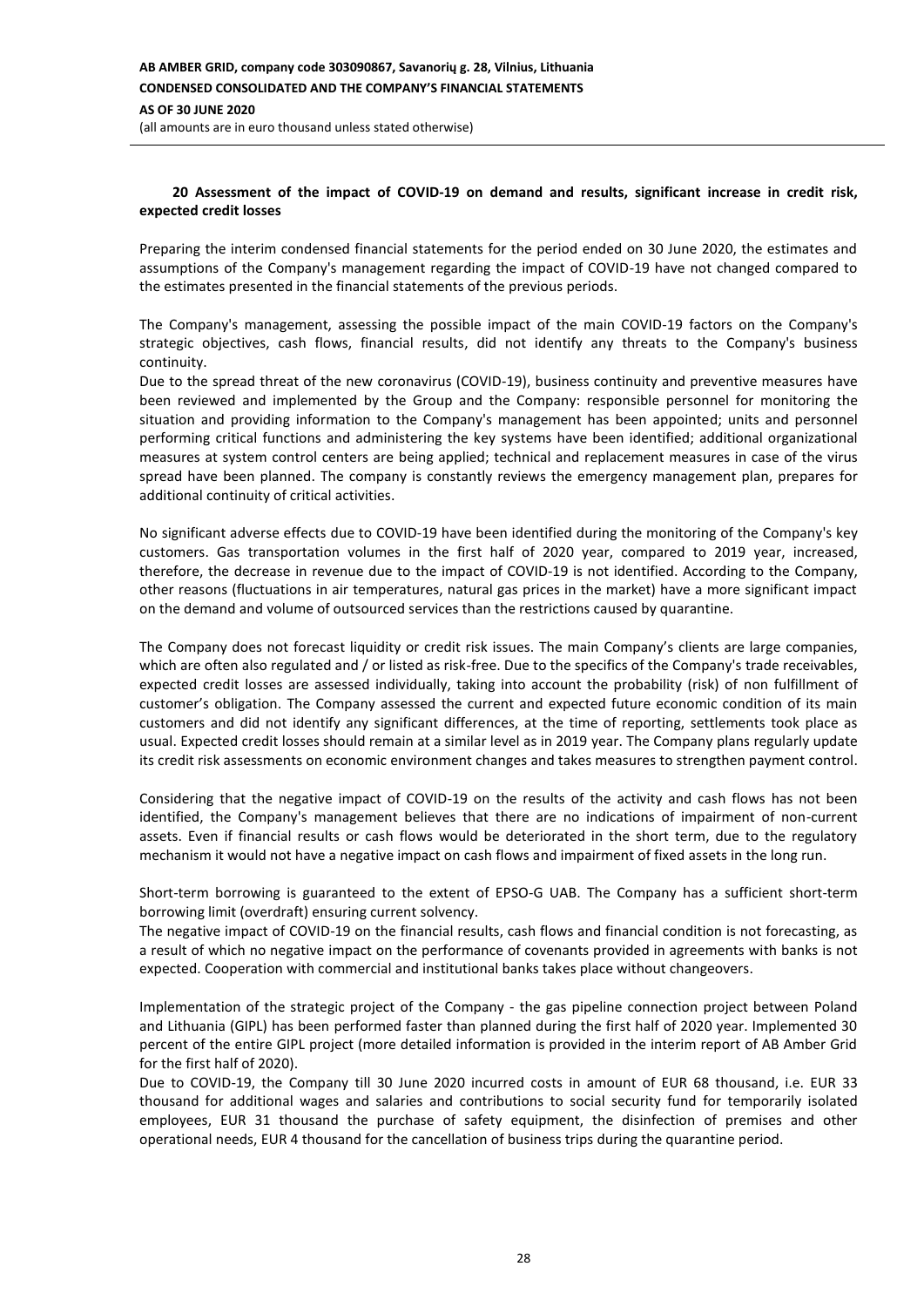### **20 Assessment of the impact of COVID-19 on demand and results, significant increase in credit risk, expected credit losses**

Preparing the interim condensed financial statements for the period ended on 30 June 2020, the estimates and assumptions of the Company's management regarding the impact of COVID-19 have not changed compared to the estimates presented in the financial statements of the previous periods.

The Company's management, assessing the possible impact of the main COVID-19 factors on the Company's strategic objectives, cash flows, financial results, did not identify any threats to the Company's business continuity.

Due to the spread threat of the new coronavirus (COVID-19), business continuity and preventive measures have been reviewed and implemented by the Group and the Company: responsible personnel for monitoring the situation and providing information to the Company's management has been appointed; units and personnel performing critical functions and administering the key systems have been identified; additional organizational measures at system control centers are being applied; technical and replacement measures in case of the virus spread have been planned. The company is constantly reviews the emergency management plan, prepares for additional continuity of critical activities.

No significant adverse effects due to COVID-19 have been identified during the monitoring of the Company's key customers. Gas transportation volumes in the first half of 2020 year, compared to 2019 year, increased, therefore, the decrease in revenue due to the impact of COVID-19 is not identified. According to the Company, other reasons (fluctuations in air temperatures, natural gas prices in the market) have a more significant impact on the demand and volume of outsourced services than the restrictions caused by quarantine.

The Company does not forecast liquidity or credit risk issues. The main Company's clients are large companies, which are often also regulated and / or listed as risk-free. Due to the specifics of the Company's trade receivables, expected credit losses are assessed individually, taking into account the probability (risk) of non fulfillment of customer's obligation. The Company assessed the current and expected future economic condition of its main customers and did not identify any significant differences, at the time of reporting, settlements took place as usual. Expected credit losses should remain at a similar level as in 2019 year. The Company plans regularly update its credit risk assessments on economic environment changes and takes measures to strengthen payment control.

Considering that the negative impact of COVID-19 on the results of the activity and cash flows has not been identified, the Company's management believes that there are no indications of impairment of non-current assets. Even if financial results or cash flows would be deteriorated in the short term, due to the regulatory mechanism it would not have a negative impact on cash flows and impairment of fixed assets in the long run.

Short-term borrowing is guaranteed to the extent of EPSO-G UAB. The Company has a sufficient short-term borrowing limit (overdraft) ensuring current solvency.

The negative impact of COVID-19 on the financial results, cash flows and financial condition is not forecasting, as a result of which no negative impact on the performance of covenants provided in agreements with banks is not expected. Cooperation with commercial and institutional banks takes place without changeovers.

Implementation of the strategic project of the Company - the gas pipeline connection project between Poland and Lithuania (GIPL) has been performed faster than planned during the first half of 2020 year. Implemented 30 percent of the entire GIPL project (more detailed information is provided in the interim report of AB Amber Grid for the first half of 2020).

Due to COVID-19, the Company till 30 June 2020 incurred costs in amount of EUR 68 thousand, i.e. EUR 33 thousand for additional wages and salaries and contributions to social security fund for temporarily isolated employees, EUR 31 thousand the purchase of safety equipment, the disinfection of premises and other operational needs, EUR 4 thousand for the cancellation of business trips during the quarantine period.